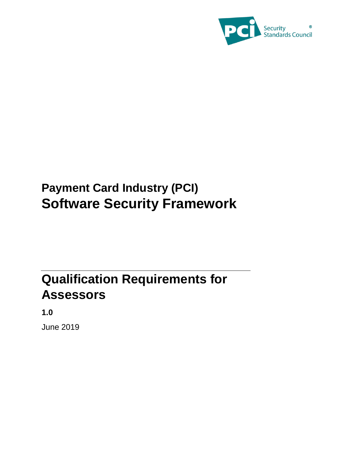

# **Payment Card Industry (PCI) Software Security Framework**

# **Qualification Requirements for Assessors**

**1.0**

June 2019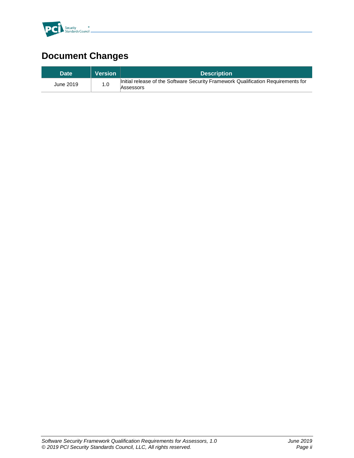

# **Document Changes**

| <b>Date</b> | <b>Version</b> | <b>Description</b>                                                                             |
|-------------|----------------|------------------------------------------------------------------------------------------------|
| June 2019   | 1.0            | Initial release of the Software Security Framework Qualification Requirements for<br>Assessors |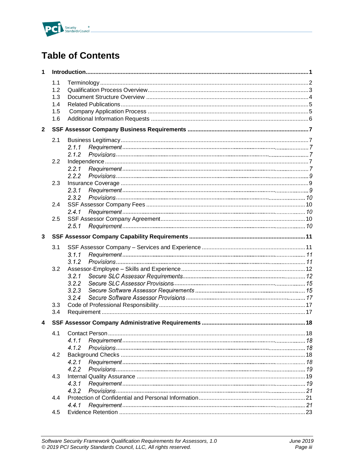

## **Table of Contents**

| 1            |                   |       |  |  |
|--------------|-------------------|-------|--|--|
|              | 1.1<br>1.2<br>1.3 |       |  |  |
|              | 1.4               |       |  |  |
|              |                   |       |  |  |
|              | 1.5               |       |  |  |
|              | 1.6               |       |  |  |
| $\mathbf{2}$ |                   |       |  |  |
|              | 2.1               |       |  |  |
|              |                   | 2.1.1 |  |  |
|              |                   | 2.1.2 |  |  |
|              | 2.2               |       |  |  |
|              |                   | 2.2.1 |  |  |
|              |                   | 2.2.2 |  |  |
|              | 2.3               |       |  |  |
|              |                   | 2.3.1 |  |  |
|              |                   | 2.3.2 |  |  |
|              | 2.4               |       |  |  |
|              |                   | 2.4.1 |  |  |
|              | 2.5               |       |  |  |
|              |                   | 2.5.1 |  |  |
| 3            |                   |       |  |  |
|              | 3.1               |       |  |  |
|              |                   | 3.1.1 |  |  |
|              |                   | 3.1.2 |  |  |
|              | 3.2               |       |  |  |
|              |                   | 3.2.1 |  |  |
|              |                   | 3.2.2 |  |  |
|              |                   | 3.2.3 |  |  |
|              |                   | 3.2.4 |  |  |
|              | 3.3               |       |  |  |
|              | 3.4               |       |  |  |
| 4            |                   |       |  |  |
|              | 4.1               |       |  |  |
|              |                   | 4.1.1 |  |  |
|              |                   | 4.1.2 |  |  |
|              | 4.2               |       |  |  |
|              |                   | 4.2.1 |  |  |
|              |                   | 4.2.2 |  |  |
|              | 4.3               |       |  |  |
|              |                   | 4.3.1 |  |  |
|              |                   | 4.3.2 |  |  |
|              | 4.4               |       |  |  |
|              |                   | 4.4.1 |  |  |
|              | 4.5               |       |  |  |
|              |                   |       |  |  |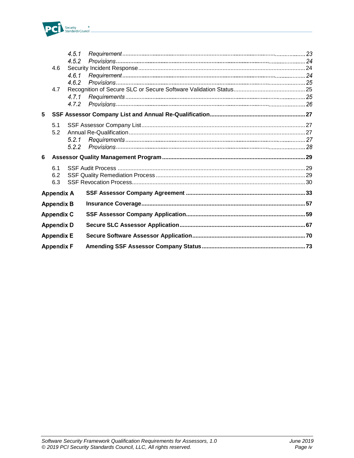

|   |                   | 4.5.1 |  |
|---|-------------------|-------|--|
|   |                   | 4.5.2 |  |
|   | 4.6               |       |  |
|   |                   | 4.6.1 |  |
|   |                   | 4.6.2 |  |
|   | 4.7               |       |  |
|   |                   | 471   |  |
|   |                   | 4.7.2 |  |
| 5 |                   |       |  |
|   | 5.1               |       |  |
|   | 5.2               |       |  |
|   |                   | 5.2.1 |  |
|   |                   | 5.2.2 |  |
| 6 |                   |       |  |
|   | 6.1               |       |  |
|   | 6.2               |       |  |
|   | 6.3               |       |  |
|   | <b>Appendix A</b> |       |  |
|   | <b>Appendix B</b> |       |  |
|   | <b>Appendix C</b> |       |  |
|   | <b>Appendix D</b> |       |  |
|   | <b>Appendix E</b> |       |  |
|   | <b>Appendix F</b> |       |  |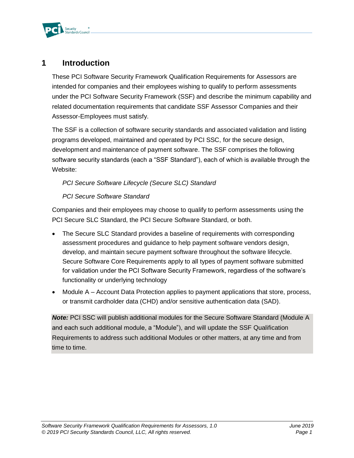

### <span id="page-4-0"></span>**1 Introduction**

These PCI Software Security Framework Qualification Requirements for Assessors are intended for companies and their employees wishing to qualify to perform assessments under the PCI Software Security Framework (SSF) and describe the minimum capability and related documentation requirements that candidate SSF Assessor Companies and their Assessor-Employees must satisfy.

The SSF is a collection of software security standards and associated validation and listing programs developed, maintained and operated by PCI SSC, for the secure design, development and maintenance of payment software. The SSF comprises the following software security standards (each a "SSF Standard"), each of which is available through the Website:

#### *PCI Secure Software Lifecycle (Secure SLC) Standard*

#### *PCI Secure Software Standard*

Companies and their employees may choose to qualify to perform assessments using the PCI Secure SLC Standard, the PCI Secure Software Standard, or both.

- The Secure SLC Standard provides a baseline of requirements with corresponding assessment procedures and guidance to help payment software vendors design, develop, and maintain secure payment software throughout the software lifecycle. Secure Software Core Requirements apply to all types of payment software submitted for validation under the PCI Software Security Framework, regardless of the software's functionality or underlying technology
- Module A Account Data Protection applies to payment applications that store, process, or transmit cardholder data (CHD) and/or sensitive authentication data (SAD).

*Note:* PCI SSC will publish additional modules for the Secure Software Standard (Module A and each such additional module, a "Module"), and will update the SSF Qualification Requirements to address such additional Modules or other matters, at any time and from time to time.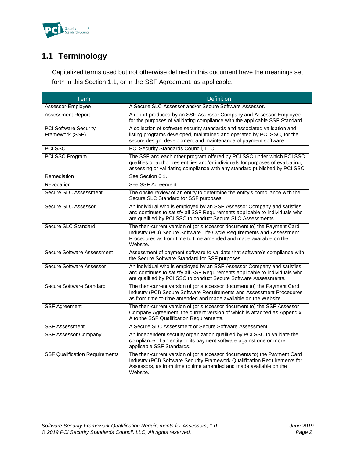

## <span id="page-5-0"></span>**1.1 Terminology**

Capitalized terms used but not otherwise defined in this document have the meanings set forth in this Section 1.1, or in the SSF Agreement, as applicable.

| <b>Term</b>                                     | <b>Definition</b>                                                                                                                                                                                                                      |
|-------------------------------------------------|----------------------------------------------------------------------------------------------------------------------------------------------------------------------------------------------------------------------------------------|
| Assessor-Employee                               | A Secure SLC Assessor and/or Secure Software Assessor.                                                                                                                                                                                 |
| Assessment Report                               | A report produced by an SSF Assessor Company and Assessor-Employee<br>for the purposes of validating compliance with the applicable SSF Standard.                                                                                      |
| <b>PCI Software Security</b><br>Framework (SSF) | A collection of software security standards and associated validation and<br>listing programs developed, maintained and operated by PCI SSC, for the<br>secure design, development and maintenance of payment software.                |
| PCI SSC                                         | PCI Security Standards Council, LLC.                                                                                                                                                                                                   |
| PCI SSC Program                                 | The SSF and each other program offered by PCI SSC under which PCI SSC<br>qualifies or authorizes entities and/or individuals for purposes of evaluating,<br>assessing or validating compliance with any standard published by PCI SSC. |
| Remediation                                     | See Section 6.1.                                                                                                                                                                                                                       |
| Revocation                                      | See SSF Agreement.                                                                                                                                                                                                                     |
| Secure SLC Assessment                           | The onsite review of an entity to determine the entity's compliance with the<br>Secure SLC Standard for SSF purposes.                                                                                                                  |
| Secure SLC Assessor                             | An individual who is employed by an SSF Assessor Company and satisfies<br>and continues to satisfy all SSF Requirements applicable to individuals who<br>are qualified by PCI SSC to conduct Secure SLC Assessments.                   |
| Secure SLC Standard                             | The then-current version of (or successor document to) the Payment Card<br>Industry (PCI) Secure Software Life Cycle Requirements and Assessment<br>Procedures as from time to time amended and made available on the<br>Website.      |
| Secure Software Assessment                      | Assessment of payment software to validate that software's compliance with<br>the Secure Software Standard for SSF purposes.                                                                                                           |
| Secure Software Assessor                        | An individual who is employed by an SSF Assessor Company and satisfies<br>and continues to satisfy all SSF Requirements applicable to individuals who<br>are qualified by PCI SSC to conduct Secure Software Assessments.              |
| Secure Software Standard                        | The then-current version of (or successor document to) the Payment Card<br>Industry (PCI) Secure Software Requirements and Assessment Procedures<br>as from time to time amended and made available on the Website.                    |
| <b>SSF Agreement</b>                            | The then-current version of (or successor document to) the SSF Assessor<br>Company Agreement, the current version of which is attached as Appendix<br>A to the SSF Qualification Requirements.                                         |
| <b>SSF Assessment</b>                           | A Secure SLC Assessment or Secure Software Assessment                                                                                                                                                                                  |
| <b>SSF Assessor Company</b>                     | An independent security organization qualified by PCI SSC to validate the<br>compliance of an entity or its payment software against one or more<br>applicable SSF Standards.                                                          |
| <b>SSF Qualification Requirements</b>           | The then-current version of (or successor documents to) the Payment Card<br>Industry (PCI) Software Security Framework Qualification Requirements for<br>Assessors, as from time to time amended and made available on the<br>Website. |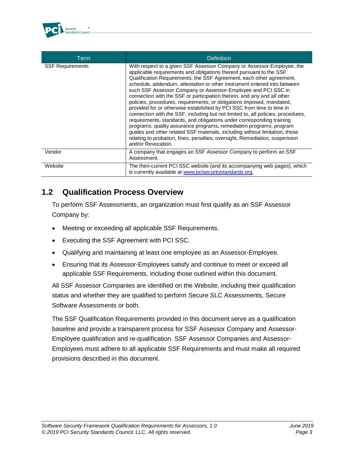

| Term                    | <b>Definition</b>                                                                                                                                                                                                                                                                                                                                                                                                                                                                                                                                                                                                                                                                                                                                                                                                                                                                                                                                                                                                       |
|-------------------------|-------------------------------------------------------------------------------------------------------------------------------------------------------------------------------------------------------------------------------------------------------------------------------------------------------------------------------------------------------------------------------------------------------------------------------------------------------------------------------------------------------------------------------------------------------------------------------------------------------------------------------------------------------------------------------------------------------------------------------------------------------------------------------------------------------------------------------------------------------------------------------------------------------------------------------------------------------------------------------------------------------------------------|
| <b>SSF Requirements</b> | With respect to a given SSF Assessor Company or Assessor-Employee, the<br>applicable requirements and obligations thereof pursuant to the SSF<br>Qualification Requirements, the SSF Agreement, each other agreement,<br>schedule, addendum, attestation or other instrument entered into between<br>such SSF Assessor Company or Assessor-Employee and PCI SSC in<br>connection with the SSF or participation therein, and any and all other<br>policies, procedures, requirements, or obligations imposed, mandated,<br>provided for or otherwise established by PCI SSC from time to time in<br>connection with the SSF, including but not limited to, all policies, procedures,<br>requirements, standards, and obligations under corresponding training<br>programs, quality assurance programs, remediation programs, program<br>guides and other related SSF materials, including without limitation, those<br>relating to probation, fines, penalties, oversight, Remediation, suspension<br>and/or Revocation. |
| Vendor                  | A company that engages an SSF Assessor Company to perform an SSF<br>Assessment.                                                                                                                                                                                                                                                                                                                                                                                                                                                                                                                                                                                                                                                                                                                                                                                                                                                                                                                                         |
| Website                 | The then-current PCI SSC website (and its accompanying web pages), which<br>is currently available at www.pcisecuritystandards.org.                                                                                                                                                                                                                                                                                                                                                                                                                                                                                                                                                                                                                                                                                                                                                                                                                                                                                     |

### <span id="page-6-0"></span>**1.2 Qualification Process Overview**

To perform SSF Assessments, an organization must first qualify as an SSF Assessor Company by:

- Meeting or exceeding all applicable SSF Requirements.
- Executing the SSF Agreement with PCI SSC.
- Qualifying and maintaining at least one employee as an Assessor-Employee.
- Ensuring that its Assessor-Employees satisfy and continue to meet or exceed all applicable SSF Requirements, including those outlined within this document.

All SSF Assessor Companies are identified on the Website, including their qualification status and whether they are qualified to perform Secure SLC Assessments, Secure Software Assessments or both.

The SSF Qualification Requirements provided in this document serve as a qualification baseline and provide a transparent process for SSF Assessor Company and Assessor-Employee qualification and re-qualification. SSF Assessor Companies and Assessor-Employees must adhere to all applicable SSF Requirements and must make all required provisions described in this document.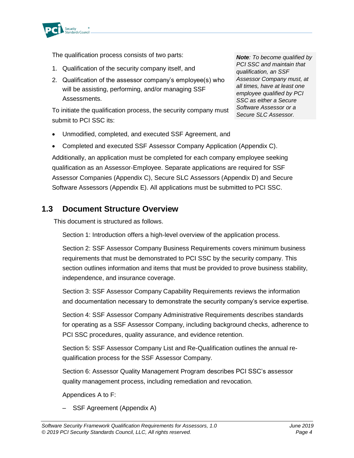

The qualification process consists of two parts:

- 1. Qualification of the security company itself, and
- 2. Qualification of the assessor company's employee(s) who will be assisting, performing, and/or managing SSF Assessments.

To initiate the qualification process, the security company must submit to PCI SSC its:

• Unmodified, completed, and executed SSF Agreement, and

*Note: To become qualified by PCI SSC and maintain that qualification, an SSF Assessor Company must, at all times, have at least one employee qualified by PCI SSC as either a Secure Software Assessor or a Secure SLC Assessor.*

• Completed and executed SSF Assessor Company Application (Appendix C). Additionally, an application must be completed for each company employee seeking qualification as an Assessor-Employee. Separate applications are required for SSF Assessor Companies (Appendix C), Secure SLC Assessors (Appendix D) and Secure Software Assessors (Appendix E). All applications must be submitted to PCI SSC.

### <span id="page-7-0"></span>**1.3 Document Structure Overview**

This document is structured as follows.

Section 1: Introduction offers a high-level overview of the application process.

Section 2: SSF Assessor Company Business Requirements covers minimum business requirements that must be demonstrated to PCI SSC by the security company. This section outlines information and items that must be provided to prove business stability, independence, and insurance coverage.

Section 3: SSF Assessor Company Capability Requirements reviews the information and documentation necessary to demonstrate the security company's service expertise.

Section 4: SSF Assessor Company Administrative Requirements describes standards for operating as a SSF Assessor Company, including background checks, adherence to PCI SSC procedures, quality assurance, and evidence retention.

Section 5: SSF Assessor Company List and Re-Qualification outlines the annual requalification process for the SSF Assessor Company.

Section 6: Assessor Quality Management Program describes PCI SSC's assessor quality management process, including remediation and revocation.

Appendices A to F:

– SSF Agreement (Appendix A)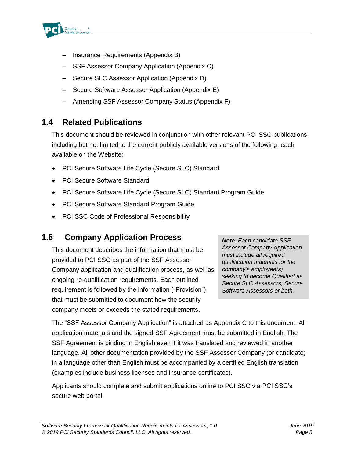

- Insurance Requirements (Appendix B)
- SSF Assessor Company Application (Appendix C)
- Secure SLC Assessor Application (Appendix D)
- Secure Software Assessor Application (Appendix E)
- Amending SSF Assessor Company Status (Appendix F)

### <span id="page-8-0"></span>**1.4 Related Publications**

This document should be reviewed in conjunction with other relevant PCI SSC publications, including but not limited to the current publicly available versions of the following, each available on the Website:

- PCI Secure Software Life Cycle (Secure SLC) Standard
- PCI Secure Software Standard
- PCI Secure Software Life Cycle (Secure SLC) Standard Program Guide
- PCI Secure Software Standard Program Guide
- PCI SSC Code of Professional Responsibility

### <span id="page-8-1"></span>**1.5 Company Application Process**

This document describes the information that must be provided to PCI SSC as part of the SSF Assessor Company application and qualification process, as well as ongoing re-qualification requirements. Each outlined requirement is followed by the information ("Provision") that must be submitted to document how the security company meets or exceeds the stated requirements.

*Note: Each candidate SSF Assessor Company Application must include all required qualification materials for the company's employee(s) seeking to become Qualified as Secure SLC Assessors, Secure Software Assessors or both.*

The "SSF Assessor Company Application" is attached as Appendix C to this document. All application materials and the signed SSF Agreement must be submitted in English. The SSF Agreement is binding in English even if it was translated and reviewed in another language. All other documentation provided by the SSF Assessor Company (or candidate) in a language other than English must be accompanied by a certified English translation (examples include business licenses and insurance certificates).

Applicants should complete and submit applications online to PCI SSC via PCI SSC's secure web portal.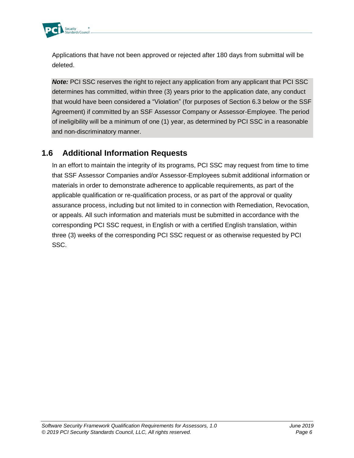

Applications that have not been approved or rejected after 180 days from submittal will be deleted.

**Note:** PCI SSC reserves the right to reject any application from any applicant that PCI SSC determines has committed, within three (3) years prior to the application date, any conduct that would have been considered a "Violation" (for purposes of Section 6.3 below or the SSF Agreement) if committed by an SSF Assessor Company or Assessor-Employee. The period of ineligibility will be a minimum of one (1) year, as determined by PCI SSC in a reasonable and non-discriminatory manner.

### <span id="page-9-0"></span>**1.6 Additional Information Requests**

In an effort to maintain the integrity of its programs, PCI SSC may request from time to time that SSF Assessor Companies and/or Assessor-Employees submit additional information or materials in order to demonstrate adherence to applicable requirements, as part of the applicable qualification or re-qualification process, or as part of the approval or quality assurance process, including but not limited to in connection with Remediation, Revocation, or appeals. All such information and materials must be submitted in accordance with the corresponding PCI SSC request, in English or with a certified English translation, within three (3) weeks of the corresponding PCI SSC request or as otherwise requested by PCI SSC.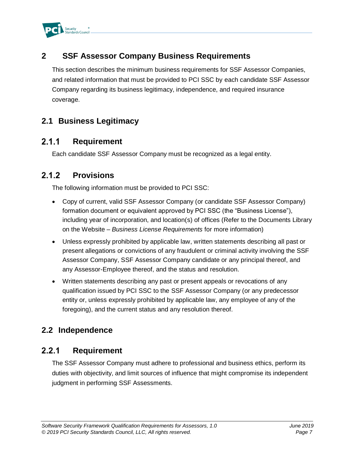

### <span id="page-10-0"></span>**2 SSF Assessor Company Business Requirements**

This section describes the minimum business requirements for SSF Assessor Companies, and related information that must be provided to PCI SSC by each candidate SSF Assessor Company regarding its business legitimacy, independence, and required insurance coverage.

### <span id="page-10-1"></span>**2.1 Business Legitimacy**

#### $2.1.1$ **Requirement**

Each candidate SSF Assessor Company must be recognized as a legal entity.

#### $2.1.2$ **Provisions**

The following information must be provided to PCI SSC:

- Copy of current, valid SSF Assessor Company (or candidate SSF Assessor Company) formation document or equivalent approved by PCI SSC (the "Business License"), including year of incorporation, and location(s) of offices (Refer to the Documents Library on the Website – *Business License Requirements* for more information)
- Unless expressly prohibited by applicable law, written statements describing all past or present allegations or convictions of any fraudulent or criminal activity involving the SSF Assessor Company, SSF Assessor Company candidate or any principal thereof, and any Assessor-Employee thereof, and the status and resolution.
- Written statements describing any past or present appeals or revocations of any qualification issued by PCI SSC to the SSF Assessor Company (or any predecessor entity or, unless expressly prohibited by applicable law, any employee of any of the foregoing), and the current status and any resolution thereof.

### <span id="page-10-2"></span>**2.2 Independence**

#### <span id="page-10-3"></span> $2.2.1$ **Requirement**

The SSF Assessor Company must adhere to professional and business ethics, perform its duties with objectivity, and limit sources of influence that might compromise its independent judgment in performing SSF Assessments.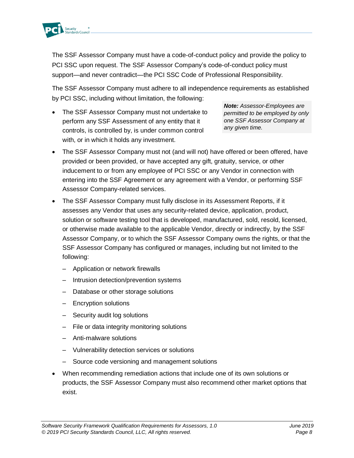

The SSF Assessor Company must have a code-of-conduct policy and provide the policy to PCI SSC upon request. The SSF Assessor Company's code-of-conduct policy must support—and never contradict—the PCI SSC Code of Professional Responsibility.

The SSF Assessor Company must adhere to all independence requirements as established by PCI SSC, including without limitation, the following:

The SSF Assessor Company must not undertake to perform any SSF Assessment of any entity that it controls, is controlled by, is under common control with, or in which it holds any investment.

*Note: Assessor-Employees are permitted to be employed by only one SSF Assessor Company at any given time.*

- The SSF Assessor Company must not (and will not) have offered or been offered, have provided or been provided, or have accepted any gift, gratuity, service, or other inducement to or from any employee of PCI SSC or any Vendor in connection with entering into the SSF Agreement or any agreement with a Vendor, or performing SSF Assessor Company-related services.
- The SSF Assessor Company must fully disclose in its Assessment Reports, if it assesses any Vendor that uses any security-related device, application, product, solution or software testing tool that is developed, manufactured, sold, resold, licensed, or otherwise made available to the applicable Vendor, directly or indirectly, by the SSF Assessor Company, or to which the SSF Assessor Company owns the rights, or that the SSF Assessor Company has configured or manages, including but not limited to the following:
	- Application or network firewalls
	- Intrusion detection/prevention systems
	- Database or other storage solutions
	- Encryption solutions
	- Security audit log solutions
	- File or data integrity monitoring solutions
	- Anti-malware solutions
	- Vulnerability detection services or solutions
	- Source code versioning and management solutions
- When recommending remediation actions that include one of its own solutions or products, the SSF Assessor Company must also recommend other market options that exist.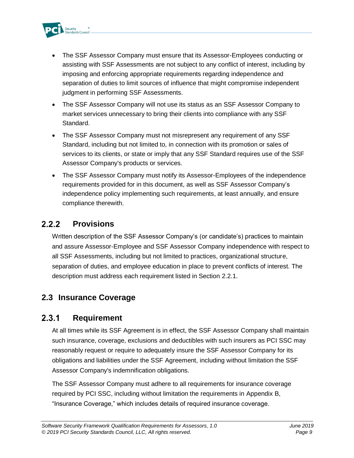

- The SSF Assessor Company must ensure that its Assessor-Employees conducting or assisting with SSF Assessments are not subject to any conflict of interest, including by imposing and enforcing appropriate requirements regarding independence and separation of duties to limit sources of influence that might compromise independent judgment in performing SSF Assessments.
- The SSF Assessor Company will not use its status as an SSF Assessor Company to market services unnecessary to bring their clients into compliance with any SSF Standard.
- The SSF Assessor Company must not misrepresent any requirement of any SSF Standard, including but not limited to, in connection with its promotion or sales of services to its clients, or state or imply that any SSF Standard requires use of the SSF Assessor Company's products or services.
- The SSF Assessor Company must notify its Assessor-Employees of the independence requirements provided for in this document, as well as SSF Assessor Company's independence policy implementing such requirements, at least annually, and ensure compliance therewith.

#### $2.2.2$ **Provisions**

Written description of the SSF Assessor Company's (or candidate's) practices to maintain and assure Assessor-Employee and SSF Assessor Company independence with respect to all SSF Assessments, including but not limited to practices, organizational structure, separation of duties, and employee education in place to prevent conflicts of interest. The description must address each requirement listed in Section [2.2.1.](#page-10-3)

### <span id="page-12-0"></span>**2.3 Insurance Coverage**

#### $2.3.1$ **Requirement**

At all times while its SSF Agreement is in effect, the SSF Assessor Company shall maintain such insurance, coverage, exclusions and deductibles with such insurers as PCI SSC may reasonably request or require to adequately insure the SSF Assessor Company for its obligations and liabilities under the SSF Agreement, including without limitation the SSF Assessor Company's indemnification obligations.

The SSF Assessor Company must adhere to all requirements for insurance coverage required by PCI SSC, including without limitation the requirements in Appendix B, "Insurance Coverage," which includes details of required insurance coverage.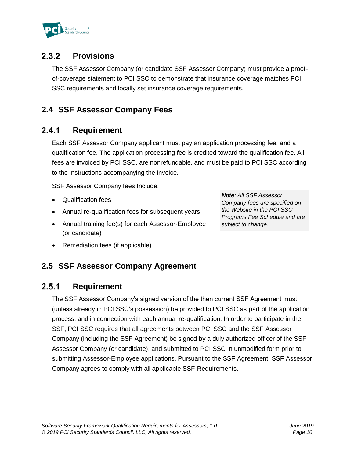

#### **Provisions**  $2.3.2$

The SSF Assessor Company (or candidate SSF Assessor Company) must provide a proofof-coverage statement to PCI SSC to demonstrate that insurance coverage matches PCI SSC requirements and locally set insurance coverage requirements.

### <span id="page-13-0"></span>**2.4 SSF Assessor Company Fees**

#### $2.4.1$ **Requirement**

Each SSF Assessor Company applicant must pay an application processing fee, and a qualification fee. The application processing fee is credited toward the qualification fee. All fees are invoiced by PCI SSC, are nonrefundable, and must be paid to PCI SSC according to the instructions accompanying the invoice.

SSF Assessor Company fees Include:

- Qualification fees
- Annual re-qualification fees for subsequent years
- Annual training fee(s) for each Assessor-Employee (or candidate)

*Note: All SSF Assessor Company fees are specified on the Website in the PCI SSC Programs Fee Schedule and are subject to change.*

• Remediation fees (if applicable)

### <span id="page-13-1"></span>**2.5 SSF Assessor Company Agreement**

#### $2.5.1$ **Requirement**

The SSF Assessor Company's signed version of the then current SSF Agreement must (unless already in PCI SSC's possession) be provided to PCI SSC as part of the application process, and in connection with each annual re-qualification. In order to participate in the SSF, PCI SSC requires that all agreements between PCI SSC and the SSF Assessor Company (including the SSF Agreement) be signed by a duly authorized officer of the SSF Assessor Company (or candidate), and submitted to PCI SSC in unmodified form prior to submitting Assessor-Employee applications. Pursuant to the SSF Agreement, SSF Assessor Company agrees to comply with all applicable SSF Requirements.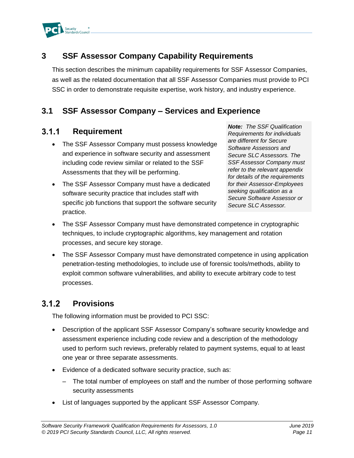

### <span id="page-14-0"></span>**3 SSF Assessor Company Capability Requirements**

This section describes the minimum capability requirements for SSF Assessor Companies, as well as the related documentation that all SSF Assessor Companies must provide to PCI SSC in order to demonstrate requisite expertise, work history, and industry experience.

### <span id="page-14-1"></span>**3.1 SSF Assessor Company – Services and Experience**

#### $3.1.1$ **Requirement**

- The SSF Assessor Company must possess knowledge and experience in software security and assessment including code review similar or related to the SSF Assessments that they will be performing.
- The SSF Assessor Company must have a dedicated software security practice that includes staff with specific job functions that support the software security practice.

*Note: The SSF Qualification Requirements for individuals are different for Secure Software Assessors and Secure SLC Assessors. The SSF Assessor Company must refer to the relevant appendix for details of the requirements for their Assessor-Employees seeking qualification as a Secure Software Assessor or Secure SLC Assessor.* 

- The SSF Assessor Company must have demonstrated competence in cryptographic techniques, to include cryptographic algorithms, key management and rotation processes, and secure key storage.
- The SSF Assessor Company must have demonstrated competence in using application penetration-testing methodologies, to include use of forensic tools/methods, ability to exploit common software vulnerabilities, and ability to execute arbitrary code to test processes.

#### $3.1.2$ **Provisions**

The following information must be provided to PCI SSC:

- Description of the applicant SSF Assessor Company's software security knowledge and assessment experience including code review and a description of the methodology used to perform such reviews, preferably related to payment systems, equal to at least one year or three separate assessments.
- Evidence of a dedicated software security practice, such as:
	- The total number of employees on staff and the number of those performing software security assessments
- List of languages supported by the applicant SSF Assessor Company.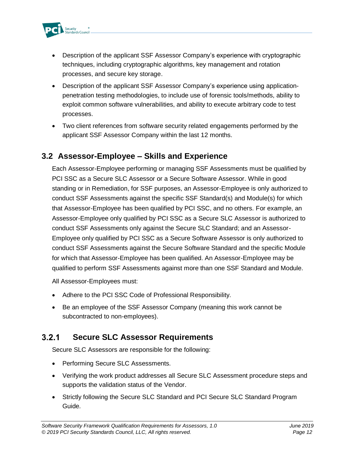

- Description of the applicant SSF Assessor Company's experience with cryptographic techniques, including cryptographic algorithms, key management and rotation processes, and secure key storage.
- Description of the applicant SSF Assessor Company's experience using applicationpenetration testing methodologies, to include use of forensic tools/methods, ability to exploit common software vulnerabilities, and ability to execute arbitrary code to test processes.
- Two client references from software security related engagements performed by the applicant SSF Assessor Company within the last 12 months.

### <span id="page-15-0"></span>**3.2 Assessor-Employee – Skills and Experience**

Each Assessor-Employee performing or managing SSF Assessments must be qualified by PCI SSC as a Secure SLC Assessor or a Secure Software Assessor. While in good standing or in Remediation, for SSF purposes, an Assessor-Employee is only authorized to conduct SSF Assessments against the specific SSF Standard(s) and Module(s) for which that Assessor-Employee has been qualified by PCI SSC, and no others. For example, an Assessor-Employee only qualified by PCI SSC as a Secure SLC Assessor is authorized to conduct SSF Assessments only against the Secure SLC Standard; and an Assessor-Employee only qualified by PCI SSC as a Secure Software Assessor is only authorized to conduct SSF Assessments against the Secure Software Standard and the specific Module for which that Assessor-Employee has been qualified. An Assessor-Employee may be qualified to perform SSF Assessments against more than one SSF Standard and Module.

All Assessor-Employees must:

- Adhere to the PCI SSC Code of Professional Responsibility.
- Be an employee of the SSF Assessor Company (meaning this work cannot be subcontracted to non-employees).

#### $3.2.1$ **Secure SLC Assessor Requirements**

Secure SLC Assessors are responsible for the following:

- Performing Secure SLC Assessments.
- Verifying the work product addresses all Secure SLC Assessment procedure steps and supports the validation status of the Vendor.
- Strictly following the Secure SLC Standard and PCI Secure SLC Standard Program Guide*.*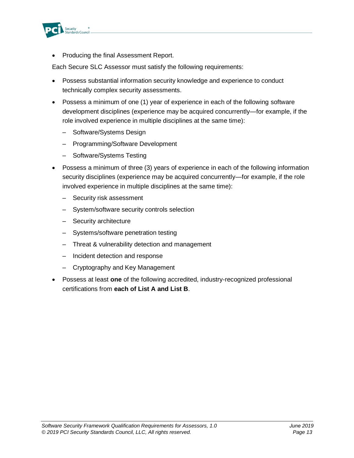

• Producing the final Assessment Report.

Each Secure SLC Assessor must satisfy the following requirements:

- Possess substantial information security knowledge and experience to conduct technically complex security assessments.
- Possess a minimum of one (1) year of experience in each of the following software development disciplines (experience may be acquired concurrently—for example, if the role involved experience in multiple disciplines at the same time):
	- Software/Systems Design
	- Programming/Software Development
	- Software/Systems Testing
- Possess a minimum of three (3) years of experience in each of the following information security disciplines (experience may be acquired concurrently—for example, if the role involved experience in multiple disciplines at the same time):
	- Security risk assessment
	- System/software security controls selection
	- Security architecture
	- Systems/software penetration testing
	- Threat & vulnerability detection and management
	- Incident detection and response
	- Cryptography and Key Management
- Possess at least **one** of the following accredited, industry-recognized professional certifications from **each of List A and List B**.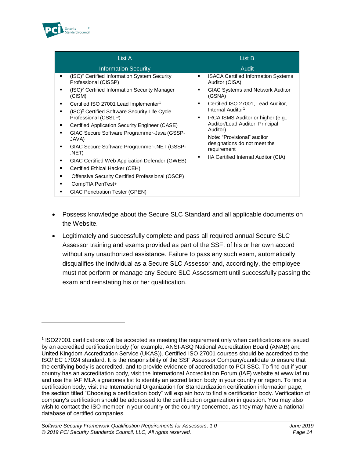

| List A                                                                                                                                                                                                                                                                                                                                                                                                                                                                                                             | List B                                                                                                                                                                                                                                                                                        |  |
|--------------------------------------------------------------------------------------------------------------------------------------------------------------------------------------------------------------------------------------------------------------------------------------------------------------------------------------------------------------------------------------------------------------------------------------------------------------------------------------------------------------------|-----------------------------------------------------------------------------------------------------------------------------------------------------------------------------------------------------------------------------------------------------------------------------------------------|--|
| <b>Information Security</b>                                                                                                                                                                                                                                                                                                                                                                                                                                                                                        | Audit                                                                                                                                                                                                                                                                                         |  |
| (ISC) <sup>2</sup> Certified Information System Security<br>٠<br>Professional (CISSP)                                                                                                                                                                                                                                                                                                                                                                                                                              | <b>ISACA Certified Information Systems</b><br>٠<br>Auditor (CISA)                                                                                                                                                                                                                             |  |
| (ISC) <sup>2</sup> Certified Information Security Manager<br>(CISM)                                                                                                                                                                                                                                                                                                                                                                                                                                                | <b>GIAC Systems and Network Auditor</b><br>٠<br>(GSNA)                                                                                                                                                                                                                                        |  |
| Certified ISO 27001 Lead Implementer <sup>1</sup><br>٠<br>(ISC) <sup>2</sup> Certified Software Security Life Cycle<br>Professional (CSSLP)<br>Certified Application Security Engineer (CASE)<br>GIAC Secure Software Programmer-Java (GSSP-<br>JAVA)<br>GIAC Secure Software Programmer-.NET (GSSP-<br>.NET)<br>GIAC Certified Web Application Defender (GWEB)<br>Certified Ethical Hacker (CEH)<br>Offensive Security Certified Professional (OSCP)<br>CompTIA PenTest+<br><b>GIAC Penetration Tester (GPEN)</b> | Certified ISO 27001, Lead Auditor,<br>٠<br>Internal Auditor <sup>1</sup><br>IRCA ISMS Auditor or higher (e.g.,<br>٠<br>Auditor/Lead Auditor, Principal<br>Auditor)<br>Note: "Provisional" auditor<br>designations do not meet the<br>requirement<br>IIA Certified Internal Auditor (CIA)<br>٠ |  |

- Possess knowledge about the Secure SLC Standard and all applicable documents on the Website.
- Legitimately and successfully complete and pass all required annual Secure SLC Assessor training and exams provided as part of the SSF, of his or her own accord without any unauthorized assistance. Failure to pass any such exam, automatically disqualifies the individual as a Secure SLC Assessor and, accordingly, the employee must not perform or manage any Secure SLC Assessment until successfully passing the exam and reinstating his or her qualification.

<sup>&</sup>lt;sup>1</sup> ISO27001 certifications will be accepted as meeting the requirement only when certifications are issued by an accredited certification body (for example, ANSI-ASQ National Accreditation Board (ANAB) and United Kingdom Accreditation Service (UKAS)). Certified ISO 27001 courses should be accredited to the ISO/IEC 17024 standard. It is the responsibility of the SSF Assessor Company/candidate to ensure that the certifying body is accredited, and to provide evidence of accreditation to PCI SSC. To find out if your country has an accreditation body, visit the International Accreditation Forum (IAF) website at www.iaf.nu and use the IAF MLA signatories list to identify an accreditation body in your country or region. To find a certification body, visit the International Organization for Standardization certification information page; the section titled "Choosing a certification body" will explain how to find a certification body. Verification of company's certification should be addressed to the certification organization in question. You may also wish to contact the ISO member in your country or the country concerned, as they may have a national database of certified companies.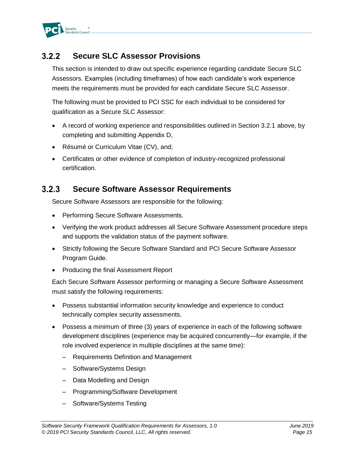

#### **Secure SLC Assessor Provisions**  $3.2.2$

This section is intended to draw out specific experience regarding candidate Secure SLC Assessors. Examples (including timeframes) of how each candidate's work experience meets the requirements must be provided for each candidate Secure SLC Assessor.

The following must be provided to PCI SSC for each individual to be considered for qualification as a Secure SLC Assessor:

- A record of working experience and responsibilities outlined in Section 3.2.1 above, by completing and submitting Appendix D,
- Résumé or Curriculum Vitae (CV), and;
- Certificates or other evidence of completion of industry-recognized professional certification.

#### $3.2.3$ **Secure Software Assessor Requirements**

Secure Software Assessors are responsible for the following:

- Performing Secure Software Assessments.
- Verifying the work product addresses all Secure Software Assessment procedure steps and supports the validation status of the payment software.
- Strictly following the Secure Software Standard and PCI Secure Software Assessor Program Guide.
- Producing the final Assessment Report

Each Secure Software Assessor performing or managing a Secure Software Assessment must satisfy the following requirements:

- Possess substantial information security knowledge and experience to conduct technically complex security assessments.
- Possess a minimum of three (3) years of experience in each of the following software development disciplines (experience may be acquired concurrently—for example, if the role involved experience in multiple disciplines at the same time):
	- Requirements Definition and Management
	- Software/Systems Design
	- Data Modelling and Design
	- Programming/Software Development
	- Software/Systems Testing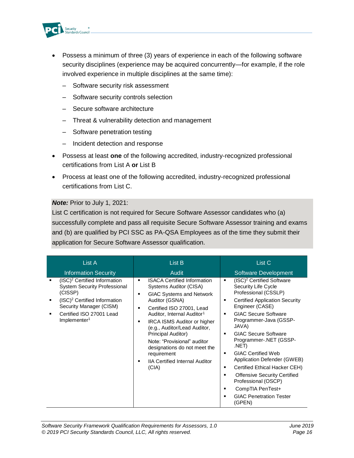

- Possess a minimum of three (3) years of experience in each of the following software security disciplines (experience may be acquired concurrently—for example, if the role involved experience in multiple disciplines at the same time):
	- Software security risk assessment
	- Software security controls selection
	- Secure software architecture
	- Threat & vulnerability detection and management
	- Software penetration testing
	- Incident detection and response
- Possess at least **one** of the following accredited, industry-recognized professional certifications from List A **or** List B
- Process at least one of the following accredited, industry-recognized professional certifications from List C.

#### *Note:* Prior to July 1, 2021:

List C certification is not required for Secure Software Assessor candidates who (a) successfully complete and pass all requisite Secure Software Assessor training and exams and (b) are qualified by PCI SSC as PA-QSA Employees as of the time they submit their application for Secure Software Assessor qualification.

| List A                                                                                                                                                                                                                    | List B                                                                                                                                                                                                                                                                                                                                                                                                                              | List C                                                                                                                                                                                                                                                                                                                                                                                                                                                                                                                                   |
|---------------------------------------------------------------------------------------------------------------------------------------------------------------------------------------------------------------------------|-------------------------------------------------------------------------------------------------------------------------------------------------------------------------------------------------------------------------------------------------------------------------------------------------------------------------------------------------------------------------------------------------------------------------------------|------------------------------------------------------------------------------------------------------------------------------------------------------------------------------------------------------------------------------------------------------------------------------------------------------------------------------------------------------------------------------------------------------------------------------------------------------------------------------------------------------------------------------------------|
| <b>Information Security</b>                                                                                                                                                                                               | Audit                                                                                                                                                                                                                                                                                                                                                                                                                               | <b>Software Development</b>                                                                                                                                                                                                                                                                                                                                                                                                                                                                                                              |
| (ISC) <sup>2</sup> Certified Information<br><b>System Security Professional</b><br>(CISSP)<br>(ISC) <sup>2</sup> Certified Information<br>Security Manager (CISM)<br>Certified ISO 27001 Lead<br>Implementer <sup>1</sup> | <b>ISACA Certified Information</b><br>Systems Auditor (CISA)<br><b>GIAC Systems and Network</b><br>٠<br>Auditor (GSNA)<br>Certified ISO 27001, Lead<br>п<br>Auditor, Internal Auditor <sup>1</sup><br><b>IRCA ISMS Auditor or higher</b><br>٠<br>(e.g., Auditor/Lead Auditor,<br>Principal Auditor)<br>Note: "Provisional" auditor<br>designations do not meet the<br>requirement<br><b>IIA Certified Internal Auditor</b><br>(CIA) | (ISC) <sup>2</sup> Certified Software<br>٠<br>Security Life Cycle<br>Professional (CSSLP)<br><b>Certified Application Security</b><br>٠<br>Engineer (CASE)<br><b>GIAC Secure Software</b><br>٠<br>Programmer-Java (GSSP-<br>JAVA)<br><b>GIAC Secure Software</b><br>Programmer-.NET (GSSP-<br>.NET)<br><b>GIAC Certified Web</b><br>٠<br>Application Defender (GWEB)<br>Certified Ethical Hacker CEH)<br>٠<br><b>Offensive Security Certified</b><br>Professional (OSCP)<br>CompTIA PenTest+<br><b>GIAC Penetration Tester</b><br>(GPEN) |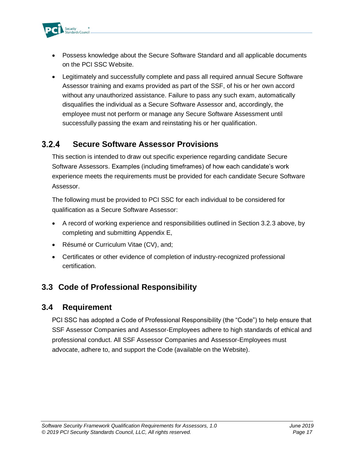

- Possess knowledge about the Secure Software Standard and all applicable documents on the PCI SSC Website.
- Legitimately and successfully complete and pass all required annual Secure Software Assessor training and exams provided as part of the SSF, of his or her own accord without any unauthorized assistance. Failure to pass any such exam, automatically disqualifies the individual as a Secure Software Assessor and, accordingly, the employee must not perform or manage any Secure Software Assessment until successfully passing the exam and reinstating his or her qualification.

#### $3.2.4$ **Secure Software Assessor Provisions**

This section is intended to draw out specific experience regarding candidate Secure Software Assessors. Examples (including timeframes) of how each candidate's work experience meets the requirements must be provided for each candidate Secure Software Assessor.

The following must be provided to PCI SSC for each individual to be considered for qualification as a Secure Software Assessor:

- A record of working experience and responsibilities outlined in Section 3.2.3 above, by completing and submitting Appendix E,
- Résumé or Curriculum Vitae (CV), and;
- Certificates or other evidence of completion of industry-recognized professional certification.

### <span id="page-20-0"></span>**3.3 Code of Professional Responsibility**

### <span id="page-20-1"></span>**3.4 Requirement**

PCI SSC has adopted a Code of Professional Responsibility (the "Code") to help ensure that SSF Assessor Companies and Assessor-Employees adhere to high standards of ethical and professional conduct. All SSF Assessor Companies and Assessor-Employees must advocate, adhere to, and support the Code (available on the Website).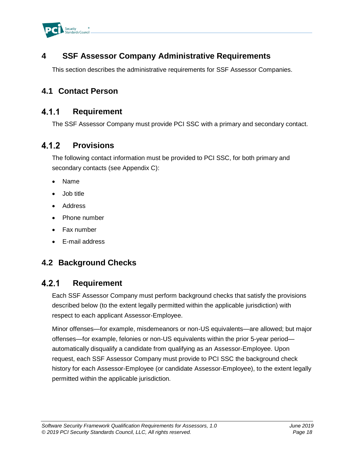

### <span id="page-21-0"></span>**4 SSF Assessor Company Administrative Requirements**

This section describes the administrative requirements for SSF Assessor Companies.

### <span id="page-21-1"></span>**4.1 Contact Person**

#### $4.1.1$ **Requirement**

The SSF Assessor Company must provide PCI SSC with a primary and secondary contact.

#### $4.1.2$ **Provisions**

The following contact information must be provided to PCI SSC, for both primary and secondary contacts (see Appendix C):

- Name
- Job title
- Address
- Phone number
- Fax number
- E-mail address

### <span id="page-21-2"></span>**4.2 Background Checks**

#### $4.2.1$ **Requirement**

Each SSF Assessor Company must perform background checks that satisfy the provisions described below (to the extent legally permitted within the applicable jurisdiction) with respect to each applicant Assessor-Employee.

Minor offenses—for example, misdemeanors or non-US equivalents—are allowed; but major offenses—for example, felonies or non-US equivalents within the prior 5-year period automatically disqualify a candidate from qualifying as an Assessor-Employee. Upon request, each SSF Assessor Company must provide to PCI SSC the background check history for each Assessor-Employee (or candidate Assessor-Employee), to the extent legally permitted within the applicable jurisdiction.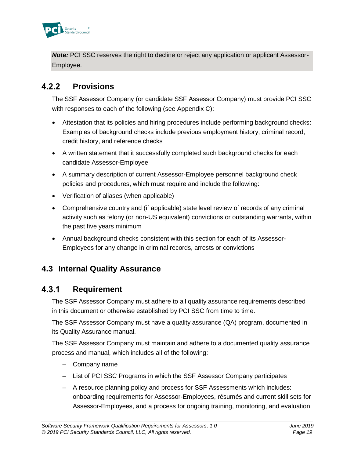

**Note:** PCI SSC reserves the right to decline or reject any application or applicant Assessor-Employee.

#### $4.2.2$ **Provisions**

The SSF Assessor Company (or candidate SSF Assessor Company) must provide PCI SSC with responses to each of the following (see Appendix C):

- Attestation that its policies and hiring procedures include performing background checks: Examples of background checks include previous employment history, criminal record, credit history, and reference checks
- A written statement that it successfully completed such background checks for each candidate Assessor-Employee
- A summary description of current Assessor-Employee personnel background check policies and procedures, which must require and include the following:
- Verification of aliases (when applicable)
- Comprehensive country and (if applicable) state level review of records of any criminal activity such as felony (or non-US equivalent) convictions or outstanding warrants, within the past five years minimum
- Annual background checks consistent with this section for each of its Assessor-Employees for any change in criminal records, arrests or convictions

### <span id="page-22-0"></span>**4.3 Internal Quality Assurance**

#### $4.3.1$ **Requirement**

The SSF Assessor Company must adhere to all quality assurance requirements described in this document or otherwise established by PCI SSC from time to time.

The SSF Assessor Company must have a quality assurance (QA) program, documented in its Quality Assurance manual.

The SSF Assessor Company must maintain and adhere to a documented quality assurance process and manual, which includes all of the following:

- Company name
- List of PCI SSC Programs in which the SSF Assessor Company participates
- A resource planning policy and process for SSF Assessments which includes: onboarding requirements for Assessor-Employees, résumés and current skill sets for Assessor-Employees, and a process for ongoing training, monitoring, and evaluation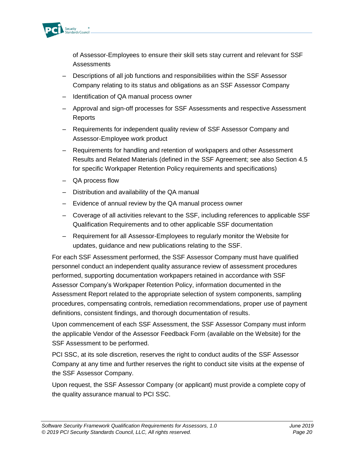

of Assessor-Employees to ensure their skill sets stay current and relevant for SSF **Assessments** 

- Descriptions of all job functions and responsibilities within the SSF Assessor Company relating to its status and obligations as an SSF Assessor Company
- Identification of QA manual process owner
- Approval and sign-off processes for SSF Assessments and respective Assessment **Reports**
- Requirements for independent quality review of SSF Assessor Company and Assessor-Employee work product
- Requirements for handling and retention of workpapers and other Assessment Results and Related Materials (defined in the SSF Agreement; see also Section 4.5 for specific Workpaper Retention Policy requirements and specifications)
- QA process flow
- Distribution and availability of the QA manual
- Evidence of annual review by the QA manual process owner
- Coverage of all activities relevant to the SSF, including references to applicable SSF Qualification Requirements and to other applicable SSF documentation
- Requirement for all Assessor-Employees to regularly monitor the Website for updates, guidance and new publications relating to the SSF.

For each SSF Assessment performed, the SSF Assessor Company must have qualified personnel conduct an independent quality assurance review of assessment procedures performed, supporting documentation workpapers retained in accordance with SSF Assessor Company's Workpaper Retention Policy, information documented in the Assessment Report related to the appropriate selection of system components, sampling procedures, compensating controls, remediation recommendations, proper use of payment definitions, consistent findings, and thorough documentation of results.

Upon commencement of each SSF Assessment, the SSF Assessor Company must inform the applicable Vendor of the Assessor Feedback Form (available on the Website) for the SSF Assessment to be performed.

PCI SSC, at its sole discretion, reserves the right to conduct audits of the SSF Assessor Company at any time and further reserves the right to conduct site visits at the expense of the SSF Assessor Company.

Upon request, the SSF Assessor Company (or applicant) must provide a complete copy of the quality assurance manual to PCI SSC.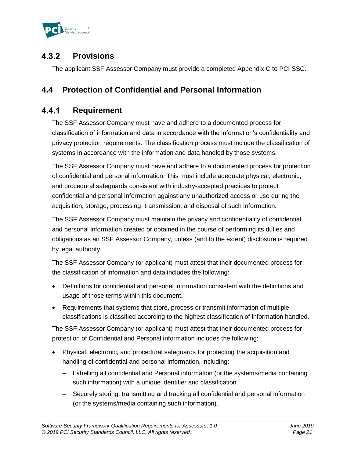

#### $4.3.2$ **Provisions**

The applicant SSF Assessor Company must provide a completed Appendix C to PCI SSC.

### <span id="page-24-0"></span>**4.4 Protection of Confidential and Personal Information**

#### $4.4.1$ **Requirement**

The SSF Assessor Company must have and adhere to a documented process for classification of information and data in accordance with the information's confidentiality and privacy protection requirements. The classification process must include the classification of systems in accordance with the information and data handled by those systems.

The SSF Assessor Company must have and adhere to a documented process for protection of confidential and personal information. This must include adequate physical, electronic, and procedural safeguards consistent with industry-accepted practices to protect confidential and personal information against any unauthorized access or use during the acquisition, storage, processing, transmission, and disposal of such information.

The SSF Assessor Company must maintain the privacy and confidentiality of confidential and personal information created or obtained in the course of performing its duties and obligations as an SSF Assessor Company, unless (and to the extent) disclosure is required by legal authority.

The SSF Assessor Company (or applicant) must attest that their documented process for the classification of information and data includes the following:

- Definitions for confidential and personal information consistent with the definitions and usage of those terms within this document.
- Requirements that systems that store, process or transmit information of multiple classifications is classified according to the highest classification of information handled.

The SSF Assessor Company (or applicant) must attest that their documented process for protection of Confidential and Personal information includes the following:

- Physical, electronic, and procedural safeguards for protecting the acquisition and handling of confidential and personal information, including:
	- Labelling all confidential and Personal information (or the systems/media containing such information) with a unique identifier and classification.
	- Securely storing, transmitting and tracking all confidential and personal information (or the systems/media containing such information).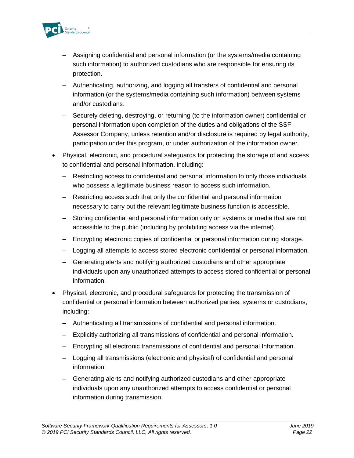

- Assigning confidential and personal information (or the systems/media containing such information) to authorized custodians who are responsible for ensuring its protection.
- Authenticating, authorizing, and logging all transfers of confidential and personal information (or the systems/media containing such information) between systems and/or custodians.
- Securely deleting, destroying, or returning (to the information owner) confidential or personal information upon completion of the duties and obligations of the SSF Assessor Company, unless retention and/or disclosure is required by legal authority, participation under this program, or under authorization of the information owner.
- Physical, electronic, and procedural safeguards for protecting the storage of and access to confidential and personal information, including:
	- Restricting access to confidential and personal information to only those individuals who possess a legitimate business reason to access such information.
	- Restricting access such that only the confidential and personal information necessary to carry out the relevant legitimate business function is accessible.
	- Storing confidential and personal information only on systems or media that are not accessible to the public (including by prohibiting access via the internet).
	- Encrypting electronic copies of confidential or personal information during storage.
	- Logging all attempts to access stored electronic confidential or personal information.
	- Generating alerts and notifying authorized custodians and other appropriate individuals upon any unauthorized attempts to access stored confidential or personal information.
- Physical, electronic, and procedural safeguards for protecting the transmission of confidential or personal information between authorized parties, systems or custodians, including:
	- Authenticating all transmissions of confidential and personal information.
	- Explicitly authorizing all transmissions of confidential and personal information.
	- Encrypting all electronic transmissions of confidential and personal Information.
	- Logging all transmissions (electronic and physical) of confidential and personal information.
	- Generating alerts and notifying authorized custodians and other appropriate individuals upon any unauthorized attempts to access confidential or personal information during transmission.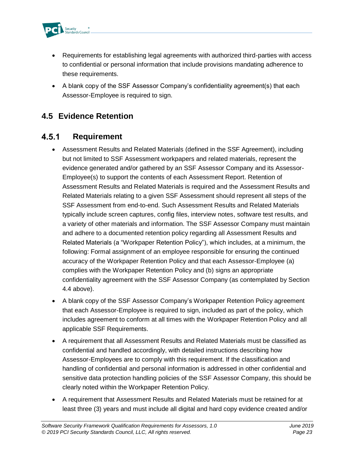

- Requirements for establishing legal agreements with authorized third-parties with access to confidential or personal information that include provisions mandating adherence to these requirements.
- A blank copy of the SSF Assessor Company's confidentiality agreement(s) that each Assessor-Employee is required to sign.

### <span id="page-26-0"></span>**4.5 Evidence Retention**

#### $4.5.1$ **Requirement**

- Assessment Results and Related Materials (defined in the SSF Agreement), including but not limited to SSF Assessment workpapers and related materials, represent the evidence generated and/or gathered by an SSF Assessor Company and its Assessor-Employee(s) to support the contents of each Assessment Report. Retention of Assessment Results and Related Materials is required and the Assessment Results and Related Materials relating to a given SSF Assessment should represent all steps of the SSF Assessment from end-to-end. Such Assessment Results and Related Materials typically include screen captures, config files, interview notes, software test results, and a variety of other materials and information. The SSF Assessor Company must maintain and adhere to a documented retention policy regarding all Assessment Results and Related Materials (a "Workpaper Retention Policy"), which includes, at a minimum, the following: Formal assignment of an employee responsible for ensuring the continued accuracy of the Workpaper Retention Policy and that each Assessor-Employee (a) complies with the Workpaper Retention Policy and (b) signs an appropriate confidentiality agreement with the SSF Assessor Company (as contemplated by Section 4.4 above).
- A blank copy of the SSF Assessor Company's Workpaper Retention Policy agreement that each Assessor-Employee is required to sign, included as part of the policy, which includes agreement to conform at all times with the Workpaper Retention Policy and all applicable SSF Requirements.
- A requirement that all Assessment Results and Related Materials must be classified as confidential and handled accordingly, with detailed instructions describing how Assessor-Employees are to comply with this requirement. If the classification and handling of confidential and personal information is addressed in other confidential and sensitive data protection handling policies of the SSF Assessor Company, this should be clearly noted within the Workpaper Retention Policy.
- A requirement that Assessment Results and Related Materials must be retained for at least three (3) years and must include all digital and hard copy evidence created and/or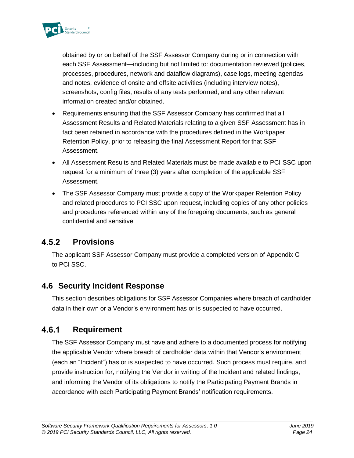

obtained by or on behalf of the SSF Assessor Company during or in connection with each SSF Assessment—including but not limited to: documentation reviewed (policies, processes, procedures, network and dataflow diagrams), case logs, meeting agendas and notes, evidence of onsite and offsite activities (including interview notes), screenshots, config files, results of any tests performed, and any other relevant information created and/or obtained.

- Requirements ensuring that the SSF Assessor Company has confirmed that all Assessment Results and Related Materials relating to a given SSF Assessment has in fact been retained in accordance with the procedures defined in the Workpaper Retention Policy, prior to releasing the final Assessment Report for that SSF Assessment.
- All Assessment Results and Related Materials must be made available to PCI SSC upon request for a minimum of three (3) years after completion of the applicable SSF Assessment.
- The SSF Assessor Company must provide a copy of the Workpaper Retention Policy and related procedures to PCI SSC upon request, including copies of any other policies and procedures referenced within any of the foregoing documents, such as general confidential and sensitive

#### $4.5.2$ **Provisions**

The applicant SSF Assessor Company must provide a completed version of Appendix C to PCI SSC.

### <span id="page-27-0"></span>**4.6 Security Incident Response**

This section describes obligations for SSF Assessor Companies where breach of cardholder data in their own or a Vendor's environment has or is suspected to have occurred.

#### 4.6.1 **Requirement**

The SSF Assessor Company must have and adhere to a documented process for notifying the applicable Vendor where breach of cardholder data within that Vendor's environment (each an "Incident") has or is suspected to have occurred. Such process must require, and provide instruction for, notifying the Vendor in writing of the Incident and related findings, and informing the Vendor of its obligations to notify the Participating Payment Brands in accordance with each Participating Payment Brands' notification requirements.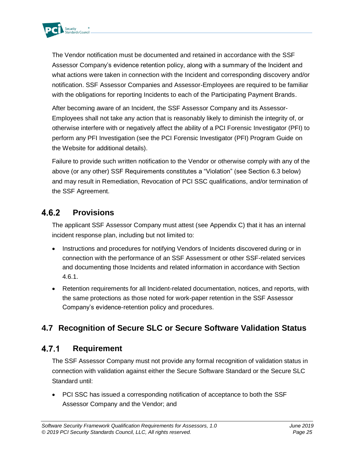

The Vendor notification must be documented and retained in accordance with the SSF Assessor Company's evidence retention policy, along with a summary of the Incident and what actions were taken in connection with the Incident and corresponding discovery and/or notification. SSF Assessor Companies and Assessor-Employees are required to be familiar with the obligations for reporting Incidents to each of the Participating Payment Brands.

After becoming aware of an Incident, the SSF Assessor Company and its Assessor-Employees shall not take any action that is reasonably likely to diminish the integrity of, or otherwise interfere with or negatively affect the ability of a PCI Forensic Investigator (PFI) to perform any PFI Investigation (see the PCI Forensic Investigator (PFI) Program Guide on the Website for additional details).

Failure to provide such written notification to the Vendor or otherwise comply with any of the above (or any other) SSF Requirements constitutes a "Violation" (see Section 6.3 below) and may result in Remediation, Revocation of PCI SSC qualifications, and/or termination of the SSF Agreement.

#### $4.6.2$ **Provisions**

The applicant SSF Assessor Company must attest (see Appendix C) that it has an internal incident response plan, including but not limited to:

- Instructions and procedures for notifying Vendors of Incidents discovered during or in connection with the performance of an SSF Assessment or other SSF-related services and documenting those Incidents and related information in accordance with Section 4.6.1.
- Retention requirements for all Incident-related documentation, notices, and reports, with the same protections as those noted for work-paper retention in the SSF Assessor Company's evidence-retention policy and procedures.

### <span id="page-28-0"></span>**4.7 Recognition of Secure SLC or Secure Software Validation Status**

#### 4.7.1 **Requirement**

The SSF Assessor Company must not provide any formal recognition of validation status in connection with validation against either the Secure Software Standard or the Secure SLC Standard until:

• PCI SSC has issued a corresponding notification of acceptance to both the SSF Assessor Company and the Vendor; and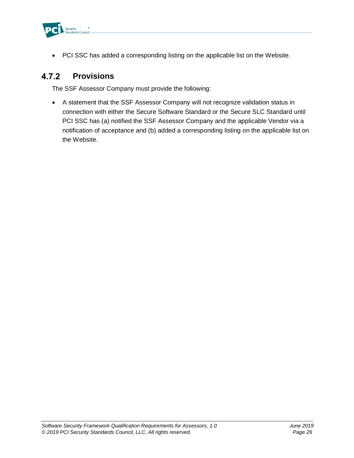

• PCI SSC has added a corresponding listing on the applicable list on the Website.

#### $4.7.2$ **Provisions**

The SSF Assessor Company must provide the following:

• A statement that the SSF Assessor Company will not recognize validation status in connection with either the Secure Software Standard or the Secure SLC Standard until PCI SSC has (a) notified the SSF Assessor Company and the applicable Vendor via a notification of acceptance and (b) added a corresponding listing on the applicable list on the Website.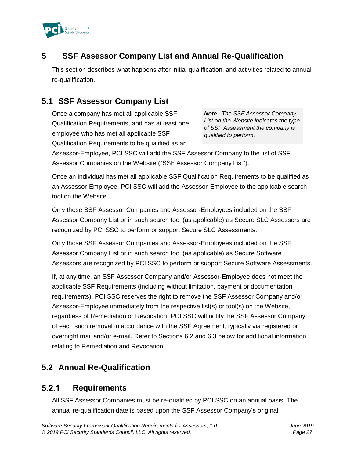

### <span id="page-30-0"></span>**5 SSF Assessor Company List and Annual Re-Qualification**

This section describes what happens after initial qualification, and activities related to annual re-qualification.

### **5.1 SSF Assessor Company List**

<span id="page-30-1"></span>Once a company has met all applicable SSF Qualification Requirements, and has at least one employee who has met all applicable SSF Qualification Requirements to be qualified as an

*Note: The SSF Assessor Company List on the Website indicates the type of SSF Assessment the company is qualified to perform.*

Assessor-Employee, PCI SSC will add the SSF Assessor Company to the list of SSF Assessor Companies on the Website ("SSF Assessor Company List").

Once an individual has met all applicable SSF Qualification Requirements to be qualified as an Assessor-Employee, PCI SSC will add the Assessor-Employee to the applicable search tool on the Website.

Only those SSF Assessor Companies and Assessor-Employees included on the SSF Assessor Company List or in such search tool (as applicable) as Secure SLC Assessors are recognized by PCI SSC to perform or support Secure SLC Assessments.

Only those SSF Assessor Companies and Assessor-Employees included on the SSF Assessor Company List or in such search tool (as applicable) as Secure Software Assessors are recognized by PCI SSC to perform or support Secure Software Assessments.

If, at any time, an SSF Assessor Company and/or Assessor-Employee does not meet the applicable SSF Requirements (including without limitation, payment or documentation requirements), PCI SSC reserves the right to remove the SSF Assessor Company and/or Assessor-Employee immediately from the respective list(s) or tool(s) on the Website, regardless of Remediation or Revocation. PCI SSC will notify the SSF Assessor Company of each such removal in accordance with the SSF Agreement, typically via registered or overnight mail and/or e-mail. Refer to Sections 6.2 and 6.3 below for additional information relating to Remediation and Revocation.

### <span id="page-30-2"></span>**5.2 Annual Re-Qualification**

#### $5.2.1$ **Requirements**

All SSF Assessor Companies must be re-qualified by PCI SSC on an annual basis. The annual re-qualification date is based upon the SSF Assessor Company's original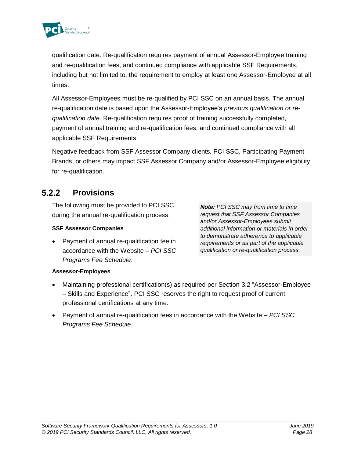

qualification date. Re-qualification requires payment of annual Assessor-Employee training and re-qualification fees, and continued compliance with applicable SSF Requirements, including but not limited to, the requirement to employ at least one Assessor-Employee at all times.

All Assessor-Employees must be re-qualified by PCI SSC on an annual basis. The annual re-qualification date is based upon the Assessor-Employee's *previous qualification or requalification date*. Re-qualification requires proof of training successfully completed, payment of annual training and re-qualification fees, and continued compliance with all applicable SSF Requirements.

Negative feedback from SSF Assessor Company clients, PCI SSC, Participating Payment Brands, or others may impact SSF Assessor Company and/or Assessor-Employee eligibility for re-qualification.

#### $5.2.2$ **Provisions**

The following must be provided to PCI SSC during the annual re-qualification process:

#### **SSF Assessor Companies**

• Payment of annual re-qualification fee in accordance with the Website – *PCI SSC Programs Fee Schedule*.

*Note: PCI SSC may from time to time request that SSF Assessor Companies and/or Assessor-Employees submit additional information or materials in order to demonstrate adherence to applicable requirements or as part of the applicable qualification or re-qualification process.*

#### **Assessor-Employees**

- Maintaining professional certification(s) as required per Section 3.2 "Assessor-Employee – Skills and Experience". PCI SSC reserves the right to request proof of current professional certifications at any time.
- Payment of annual re-qualification fees in accordance with the Website *PCI SSC Programs Fee Schedule.*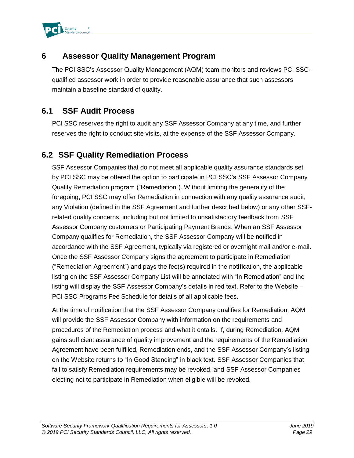

### <span id="page-32-0"></span>**6 Assessor Quality Management Program**

The PCI SSC's Assessor Quality Management (AQM) team monitors and reviews PCI SSCqualified assessor work in order to provide reasonable assurance that such assessors maintain a baseline standard of quality.

### <span id="page-32-1"></span>**6.1 SSF Audit Process**

PCI SSC reserves the right to audit any SSF Assessor Company at any time, and further reserves the right to conduct site visits, at the expense of the SSF Assessor Company.

### <span id="page-32-2"></span>**6.2 SSF Quality Remediation Process**

SSF Assessor Companies that do not meet all applicable quality assurance standards set by PCI SSC may be offered the option to participate in PCI SSC's SSF Assessor Company Quality Remediation program ("Remediation"). Without limiting the generality of the foregoing, PCI SSC may offer Remediation in connection with any quality assurance audit, any Violation (defined in the SSF Agreement and further described below) or any other SSFrelated quality concerns, including but not limited to unsatisfactory feedback from SSF Assessor Company customers or Participating Payment Brands. When an SSF Assessor Company qualifies for Remediation, the SSF Assessor Company will be notified in accordance with the SSF Agreement, typically via registered or overnight mail and/or e-mail. Once the SSF Assessor Company signs the agreement to participate in Remediation ("Remediation Agreement") and pays the fee(s) required in the notification, the applicable listing on the SSF Assessor Company List will be annotated with "In Remediation" and the listing will display the SSF Assessor Company's details in red text. Refer to the Website – PCI SSC Programs Fee Schedule for details of all applicable fees.

At the time of notification that the SSF Assessor Company qualifies for Remediation, AQM will provide the SSF Assessor Company with information on the requirements and procedures of the Remediation process and what it entails. If, during Remediation, AQM gains sufficient assurance of quality improvement and the requirements of the Remediation Agreement have been fulfilled, Remediation ends, and the SSF Assessor Company's listing on the Website returns to "In Good Standing" in black text. SSF Assessor Companies that fail to satisfy Remediation requirements may be revoked, and SSF Assessor Companies electing not to participate in Remediation when eligible will be revoked.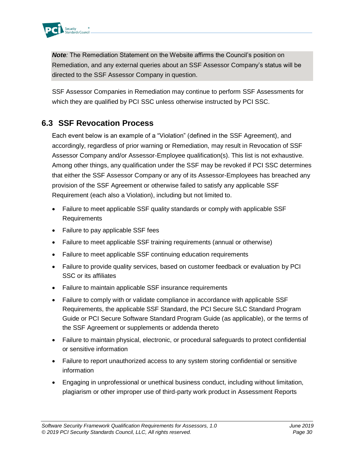

*Note:* The Remediation Statement on the Website affirms the Council's position on Remediation, and any external queries about an SSF Assessor Company's status will be directed to the SSF Assessor Company in question.

SSF Assessor Companies in Remediation may continue to perform SSF Assessments for which they are qualified by PCI SSC unless otherwise instructed by PCI SSC.

### <span id="page-33-0"></span>**6.3 SSF Revocation Process**

Each event below is an example of a "Violation" (defined in the SSF Agreement), and accordingly, regardless of prior warning or Remediation, may result in Revocation of SSF Assessor Company and/or Assessor-Employee qualification(s). This list is not exhaustive. Among other things, any qualification under the SSF may be revoked if PCI SSC determines that either the SSF Assessor Company or any of its Assessor-Employees has breached any provision of the SSF Agreement or otherwise failed to satisfy any applicable SSF Requirement (each also a Violation), including but not limited to.

- Failure to meet applicable SSF quality standards or comply with applicable SSF Requirements
- Failure to pay applicable SSF fees
- Failure to meet applicable SSF training requirements (annual or otherwise)
- Failure to meet applicable SSF continuing education requirements
- Failure to provide quality services, based on customer feedback or evaluation by PCI SSC or its affiliates
- Failure to maintain applicable SSF insurance requirements
- Failure to comply with or validate compliance in accordance with applicable SSF Requirements, the applicable SSF Standard, the PCI Secure SLC Standard Program Guide or PCI Secure Software Standard Program Guide (as applicable), or the terms of the SSF Agreement or supplements or addenda thereto
- Failure to maintain physical, electronic, or procedural safeguards to protect confidential or sensitive information
- Failure to report unauthorized access to any system storing confidential or sensitive information
- Engaging in unprofessional or unethical business conduct, including without limitation, plagiarism or other improper use of third-party work product in Assessment Reports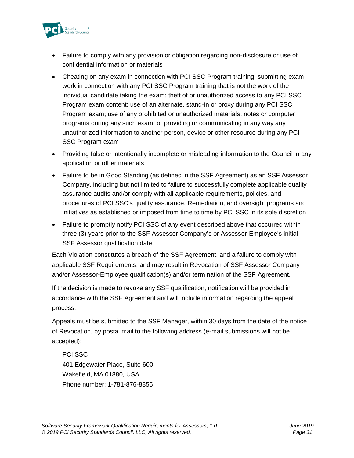

- Failure to comply with any provision or obligation regarding non-disclosure or use of confidential information or materials
- Cheating on any exam in connection with PCI SSC Program training; submitting exam work in connection with any PCI SSC Program training that is not the work of the individual candidate taking the exam; theft of or unauthorized access to any PCI SSC Program exam content; use of an alternate, stand-in or proxy during any PCI SSC Program exam; use of any prohibited or unauthorized materials, notes or computer programs during any such exam; or providing or communicating in any way any unauthorized information to another person, device or other resource during any PCI SSC Program exam
- Providing false or intentionally incomplete or misleading information to the Council in any application or other materials
- Failure to be in Good Standing (as defined in the SSF Agreement) as an SSF Assessor Company, including but not limited to failure to successfully complete applicable quality assurance audits and/or comply with all applicable requirements, policies, and procedures of PCI SSC's quality assurance, Remediation, and oversight programs and initiatives as established or imposed from time to time by PCI SSC in its sole discretion
- Failure to promptly notify PCI SSC of any event described above that occurred within three (3) years prior to the SSF Assessor Company's or Assessor-Employee's initial SSF Assessor qualification date

Each Violation constitutes a breach of the SSF Agreement, and a failure to comply with applicable SSF Requirements, and may result in Revocation of SSF Assessor Company and/or Assessor-Employee qualification(s) and/or termination of the SSF Agreement.

If the decision is made to revoke any SSF qualification, notification will be provided in accordance with the SSF Agreement and will include information regarding the appeal process.

Appeals must be submitted to the SSF Manager, within 30 days from the date of the notice of Revocation, by postal mail to the following address (e-mail submissions will not be accepted):

PCI SSC 401 Edgewater Place, Suite 600 Wakefield, MA 01880, USA Phone number: 1-781-876-8855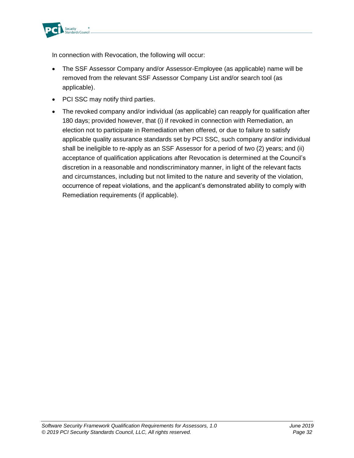

In connection with Revocation, the following will occur:

- The SSF Assessor Company and/or Assessor-Employee (as applicable) name will be removed from the relevant SSF Assessor Company List and/or search tool (as applicable).
- PCI SSC may notify third parties.
- The revoked company and/or individual (as applicable) can reapply for qualification after 180 days; provided however, that (i) if revoked in connection with Remediation, an election not to participate in Remediation when offered, or due to failure to satisfy applicable quality assurance standards set by PCI SSC, such company and/or individual shall be ineligible to re-apply as an SSF Assessor for a period of two (2) years; and (ii) acceptance of qualification applications after Revocation is determined at the Council's discretion in a reasonable and nondiscriminatory manner, in light of the relevant facts and circumstances, including but not limited to the nature and severity of the violation, occurrence of repeat violations, and the applicant's demonstrated ability to comply with Remediation requirements (if applicable).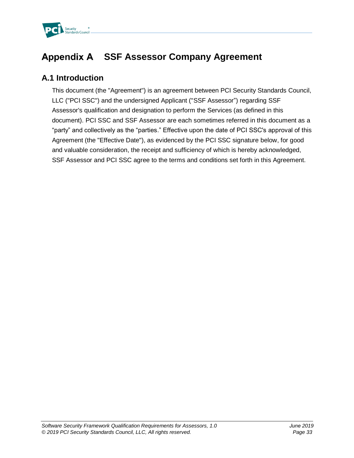

# **Appendix A SSF Assessor Company Agreement**

### **A.1 Introduction**

This document (the "Agreement") is an agreement between PCI Security Standards Council, LLC ("PCI SSC") and the undersigned Applicant ("SSF Assessor") regarding SSF Assessor's qualification and designation to perform the Services (as defined in this document). PCI SSC and SSF Assessor are each sometimes referred in this document as a "party" and collectively as the "parties." Effective upon the date of PCI SSC's approval of this Agreement (the "Effective Date"), as evidenced by the PCI SSC signature below, for good and valuable consideration, the receipt and sufficiency of which is hereby acknowledged, SSF Assessor and PCI SSC agree to the terms and conditions set forth in this Agreement.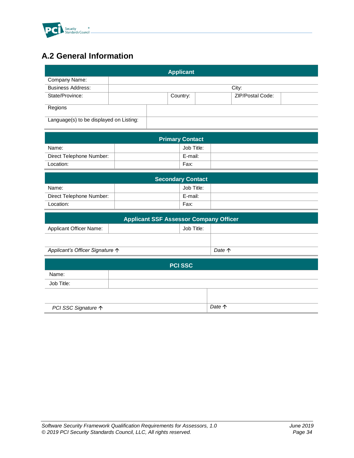

## **A.2 General Information**

|                                         |  |  | <b>Applicant</b> |                         |  |
|-----------------------------------------|--|--|------------------|-------------------------|--|
| Company Name:                           |  |  |                  |                         |  |
| <b>Business Address:</b>                |  |  |                  | City:                   |  |
| State/Province:                         |  |  | Country:         | <b>ZIP/Postal Code:</b> |  |
| Regions                                 |  |  |                  |                         |  |
| Language(s) to be displayed on Listing: |  |  |                  |                         |  |

| <b>Primary Contact</b>   |            |  |  |  |
|--------------------------|------------|--|--|--|
| Name:                    | Job Title: |  |  |  |
| Direct Telephone Number: | E-mail:    |  |  |  |
| Location:                | Fax:       |  |  |  |

| <b>Secondary Contact</b> |  |            |  |  |
|--------------------------|--|------------|--|--|
| Name:                    |  | Job Title: |  |  |
| Direct Telephone Number: |  | E-mail:    |  |  |
| Location:                |  | Fax:       |  |  |

| <b>Applicant SSF Assessor Company Officer</b> |  |            |                 |  |
|-----------------------------------------------|--|------------|-----------------|--|
| <b>Applicant Officer Name:</b>                |  | Job Title: |                 |  |
|                                               |  |            | Date $\uparrow$ |  |
| Applicant's Officer Signature ↑               |  |            |                 |  |
| <b>PCI SSC</b>                                |  |            |                 |  |
| Name:                                         |  |            |                 |  |

| Job Title:          |        |
|---------------------|--------|
|                     |        |
| PCI SSC Signature ↑ | Date 个 |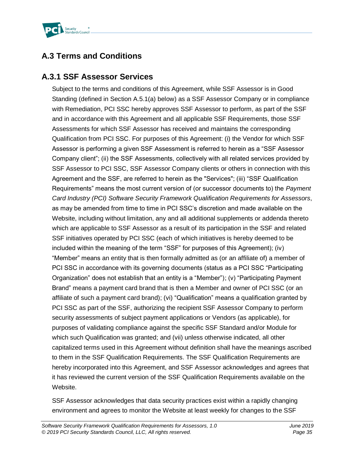

## **A.3 Terms and Conditions**

### **A.3.1 SSF Assessor Services**

Subject to the terms and conditions of this Agreement, while SSF Assessor is in Good Standing (defined in Section A.5.1(a) below) as a SSF Assessor Company or in compliance with Remediation, PCI SSC hereby approves SSF Assessor to perform, as part of the SSF and in accordance with this Agreement and all applicable SSF Requirements, those SSF Assessments for which SSF Assessor has received and maintains the corresponding Qualification from PCI SSC. For purposes of this Agreement: (i) the Vendor for which SSF Assessor is performing a given SSF Assessment is referred to herein as a "SSF Assessor Company client"; (ii) the SSF Assessments, collectively with all related services provided by SSF Assessor to PCI SSC, SSF Assessor Company clients or others in connection with this Agreement and the SSF, are referred to herein as the "Services"; (iii) "SSF Qualification Requirements" means the most current version of (or successor documents to) the *Payment Card Industry (PCI) Software Security Framework Qualification Requirements for Assessors*, as may be amended from time to time in PCI SSC's discretion and made available on the Website, including without limitation, any and all additional supplements or addenda thereto which are applicable to SSF Assessor as a result of its participation in the SSF and related SSF initiatives operated by PCI SSC (each of which initiatives is hereby deemed to be included within the meaning of the term "SSF" for purposes of this Agreement); (iv) "Member" means an entity that is then formally admitted as (or an affiliate of) a member of PCI SSC in accordance with its governing documents (status as a PCI SSC "Participating Organization" does not establish that an entity is a "Member"); (v) "Participating Payment Brand" means a payment card brand that is then a Member and owner of PCI SSC (or an affiliate of such a payment card brand); (vi) "Qualification" means a qualification granted by PCI SSC as part of the SSF, authorizing the recipient SSF Assessor Company to perform security assessments of subject payment applications or Vendors (as applicable), for purposes of validating compliance against the specific SSF Standard and/or Module for which such Qualification was granted; and (vii) unless otherwise indicated, all other capitalized terms used in this Agreement without definition shall have the meanings ascribed to them in the SSF Qualification Requirements. The SSF Qualification Requirements are hereby incorporated into this Agreement, and SSF Assessor acknowledges and agrees that it has reviewed the current version of the SSF Qualification Requirements available on the Website.

SSF Assessor acknowledges that data security practices exist within a rapidly changing environment and agrees to monitor the Website at least weekly for changes to the SSF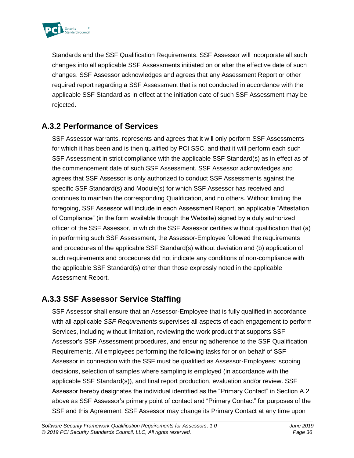

Standards and the SSF Qualification Requirements. SSF Assessor will incorporate all such changes into all applicable SSF Assessments initiated on or after the effective date of such changes. SSF Assessor acknowledges and agrees that any Assessment Report or other required report regarding a SSF Assessment that is not conducted in accordance with the applicable SSF Standard as in effect at the initiation date of such SSF Assessment may be rejected.

### **A.3.2 Performance of Services**

SSF Assessor warrants, represents and agrees that it will only perform SSF Assessments for which it has been and is then qualified by PCI SSC, and that it will perform each such SSF Assessment in strict compliance with the applicable SSF Standard(s) as in effect as of the commencement date of such SSF Assessment. SSF Assessor acknowledges and agrees that SSF Assessor is only authorized to conduct SSF Assessments against the specific SSF Standard(s) and Module(s) for which SSF Assessor has received and continues to maintain the corresponding Qualification, and no others. Without limiting the foregoing, SSF Assessor will include in each Assessment Report, an applicable "Attestation of Compliance" (in the form available through the Website) signed by a duly authorized officer of the SSF Assessor, in which the SSF Assessor certifies without qualification that (a) in performing such SSF Assessment, the Assessor-Employee followed the requirements and procedures of the applicable SSF Standard(s) without deviation and (b) application of such requirements and procedures did not indicate any conditions of non-compliance with the applicable SSF Standard(s) other than those expressly noted in the applicable Assessment Report.

### **A.3.3 SSF Assessor Service Staffing**

SSF Assessor shall ensure that an Assessor-Employee that is fully qualified in accordance with all applicable *SSF Requirements* supervises all aspects of each engagement to perform Services, including without limitation, reviewing the work product that supports SSF Assessor's SSF Assessment procedures, and ensuring adherence to the SSF Qualification Requirements*.* All employees performing the following tasks for or on behalf of SSF Assessor in connection with the SSF must be qualified as Assessor-Employees: scoping decisions, selection of samples where sampling is employed (in accordance with the applicable SSF Standard(s)), and final report production, evaluation and/or review. SSF Assessor hereby designates the individual identified as the "Primary Contact" in Section A.2 above as SSF Assessor's primary point of contact and "Primary Contact" for purposes of the SSF and this Agreement. SSF Assessor may change its Primary Contact at any time upon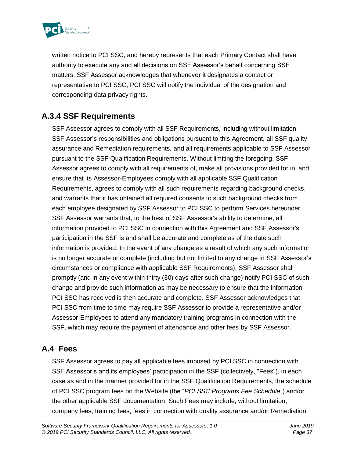

written notice to PCI SSC, and hereby represents that each Primary Contact shall have authority to execute any and all decisions on SSF Assessor's behalf concerning SSF matters. SSF Assessor acknowledges that whenever it designates a contact or representative to PCI SSC, PCI SSC will notify the individual of the designation and corresponding data privacy rights.

### **A.3.4 SSF Requirements**

SSF Assessor agrees to comply with all SSF Requirements, including without limitation, SSF Assessor's responsibilities and obligations pursuant to this Agreement, all SSF quality assurance and Remediation requirements, and all requirements applicable to SSF Assessor pursuant to the SSF Qualification Requirements. Without limiting the foregoing, SSF Assessor agrees to comply with all requirements of, make all provisions provided for in, and ensure that its Assessor-Employees comply with all applicable SSF Qualification Requirements, agrees to comply with all such requirements regarding background checks, and warrants that it has obtained all required consents to such background checks from each employee designated by SSF Assessor to PCI SSC to perform Services hereunder. SSF Assessor warrants that, to the best of SSF Assessor's ability to determine, all information provided to PCI SSC in connection with this Agreement and SSF Assessor's participation in the SSF is and shall be accurate and complete as of the date such information is provided. In the event of any change as a result of which any such information is no longer accurate or complete (including but not limited to any change in SSF Assessor's circumstances or compliance with applicable SSF Requirements), SSF Assessor shall promptly (and in any event within thirty (30) days after such change) notify PCI SSC of such change and provide such information as may be necessary to ensure that the information PCI SSC has received is then accurate and complete. SSF Assessor acknowledges that PCI SSC from time to time may require SSF Assessor to provide a representative and/or Assessor-Employees to attend any mandatory training programs in connection with the SSF, which may require the payment of attendance and other fees by SSF Assessor.

### **A.4 Fees**

SSF Assessor agrees to pay all applicable fees imposed by PCI SSC in connection with SSF Assessor's and its employees' participation in the SSF (collectively, "Fees"), in each case as and in the manner provided for in the SSF Qualification Requirements, the schedule of PCI SSC program fees on the Website (the "*PCI SSC Programs Fee Schedule*") and/or the other applicable SSF documentation. Such Fees may include, without limitation, company fees, training fees, fees in connection with quality assurance and/or Remediation,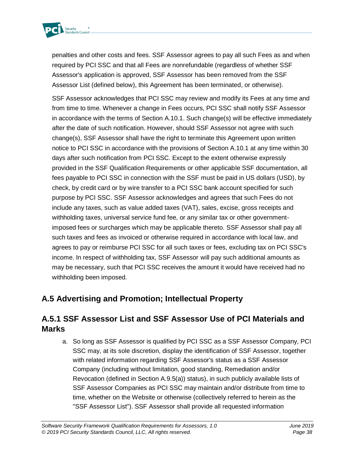

penalties and other costs and fees. SSF Assessor agrees to pay all such Fees as and when required by PCI SSC and that all Fees are nonrefundable (regardless of whether SSF Assessor's application is approved, SSF Assessor has been removed from the SSF Assessor List (defined below), this Agreement has been terminated, or otherwise).

SSF Assessor acknowledges that PCI SSC may review and modify its Fees at any time and from time to time. Whenever a change in Fees occurs, PCI SSC shall notify SSF Assessor in accordance with the terms of Section A.10.1. Such change(s) will be effective immediately after the date of such notification. However, should SSF Assessor not agree with such change(s), SSF Assessor shall have the right to terminate this Agreement upon written notice to PCI SSC in accordance with the provisions of Section A.10.1 at any time within 30 days after such notification from PCI SSC. Except to the extent otherwise expressly provided in the SSF Qualification Requirements or other applicable SSF documentation, all fees payable to PCI SSC in connection with the SSF must be paid in US dollars (USD), by check, by credit card or by wire transfer to a PCI SSC bank account specified for such purpose by PCI SSC. SSF Assessor acknowledges and agrees that such Fees do not include any taxes, such as value added taxes (VAT), sales, excise, gross receipts and withholding taxes, universal service fund fee, or any similar tax or other governmentimposed fees or surcharges which may be applicable thereto. SSF Assessor shall pay all such taxes and fees as invoiced or otherwise required in accordance with local law, and agrees to pay or reimburse PCI SSC for all such taxes or fees, excluding tax on PCI SSC's income. In respect of withholding tax, SSF Assessor will pay such additional amounts as may be necessary, such that PCI SSC receives the amount it would have received had no withholding been imposed.

### **A.5 Advertising and Promotion; Intellectual Property**

### **A.5.1 SSF Assessor List and SSF Assessor Use of PCI Materials and Marks**

a. So long as SSF Assessor is qualified by PCI SSC as a SSF Assessor Company, PCI SSC may, at its sole discretion, display the identification of SSF Assessor, together with related information regarding SSF Assessor's status as a SSF Assessor Company (including without limitation, good standing, Remediation and/or Revocation (defined in Section A.9.5(a)) status), in such publicly available lists of SSF Assessor Companies as PCI SSC may maintain and/or distribute from time to time, whether on the Website or otherwise (collectively referred to herein as the "SSF Assessor List"). SSF Assessor shall provide all requested information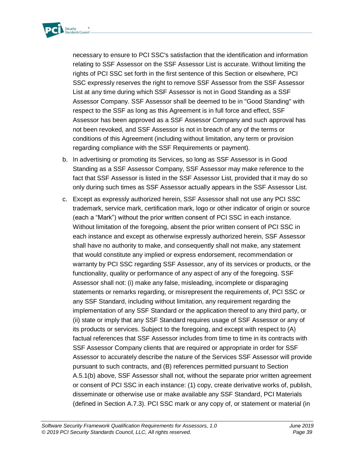

necessary to ensure to PCI SSC's satisfaction that the identification and information relating to SSF Assessor on the SSF Assessor List is accurate. Without limiting the rights of PCI SSC set forth in the first sentence of this Section or elsewhere, PCI SSC expressly reserves the right to remove SSF Assessor from the SSF Assessor List at any time during which SSF Assessor is not in Good Standing as a SSF Assessor Company. SSF Assessor shall be deemed to be in "Good Standing" with respect to the SSF as long as this Agreement is in full force and effect, SSF Assessor has been approved as a SSF Assessor Company and such approval has not been revoked, and SSF Assessor is not in breach of any of the terms or conditions of this Agreement (including without limitation, any term or provision regarding compliance with the SSF Requirements or payment).

- b. In advertising or promoting its Services, so long as SSF Assessor is in Good Standing as a SSF Assessor Company, SSF Assessor may make reference to the fact that SSF Assessor is listed in the SSF Assessor List, provided that it may do so only during such times as SSF Assessor actually appears in the SSF Assessor List.
- c. Except as expressly authorized herein, SSF Assessor shall not use any PCI SSC trademark, service mark, certification mark, logo or other indicator of origin or source (each a "Mark") without the prior written consent of PCI SSC in each instance. Without limitation of the foregoing, absent the prior written consent of PCI SSC in each instance and except as otherwise expressly authorized herein, SSF Assessor shall have no authority to make, and consequently shall not make, any statement that would constitute any implied or express endorsement, recommendation or warranty by PCI SSC regarding SSF Assessor, any of its services or products, or the functionality, quality or performance of any aspect of any of the foregoing. SSF Assessor shall not: (i) make any false, misleading, incomplete or disparaging statements or remarks regarding, or misrepresent the requirements of, PCI SSC or any SSF Standard, including without limitation, any requirement regarding the implementation of any SSF Standard or the application thereof to any third party, or (ii) state or imply that any SSF Standard requires usage of SSF Assessor or any of its products or services. Subject to the foregoing, and except with respect to (A) factual references that SSF Assessor includes from time to time in its contracts with SSF Assessor Company clients that are required or appropriate in order for SSF Assessor to accurately describe the nature of the Services SSF Assessor will provide pursuant to such contracts, and (B) references permitted pursuant to Section A.5.1(b) above, SSF Assessor shall not, without the separate prior written agreement or consent of PCI SSC in each instance: (1) copy, create derivative works of, publish, disseminate or otherwise use or make available any SSF Standard, PCI Materials (defined in Section A.7.3). PCI SSC mark or any copy of, or statement or material (in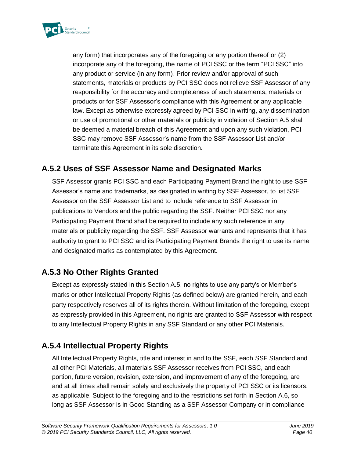

any form) that incorporates any of the foregoing or any portion thereof or (2) incorporate any of the foregoing, the name of PCI SSC or the term "PCI SSC" into any product or service (in any form). Prior review and/or approval of such statements, materials or products by PCI SSC does not relieve SSF Assessor of any responsibility for the accuracy and completeness of such statements, materials or products or for SSF Assessor's compliance with this Agreement or any applicable law. Except as otherwise expressly agreed by PCI SSC in writing, any dissemination or use of promotional or other materials or publicity in violation of Section A.5 shall be deemed a material breach of this Agreement and upon any such violation, PCI SSC may remove SSF Assessor's name from the SSF Assessor List and/or terminate this Agreement in its sole discretion.

### **A.5.2 Uses of SSF Assessor Name and Designated Marks**

SSF Assessor grants PCI SSC and each Participating Payment Brand the right to use SSF Assessor's name and trademarks, as designated in writing by SSF Assessor, to list SSF Assessor on the SSF Assessor List and to include reference to SSF Assessor in publications to Vendors and the public regarding the SSF. Neither PCI SSC nor any Participating Payment Brand shall be required to include any such reference in any materials or publicity regarding the SSF. SSF Assessor warrants and represents that it has authority to grant to PCI SSC and its Participating Payment Brands the right to use its name and designated marks as contemplated by this Agreement.

### **A.5.3 No Other Rights Granted**

Except as expressly stated in this Section A.5, no rights to use any party's or Member's marks or other Intellectual Property Rights (as defined below) are granted herein, and each party respectively reserves all of its rights therein. Without limitation of the foregoing, except as expressly provided in this Agreement, no rights are granted to SSF Assessor with respect to any Intellectual Property Rights in any SSF Standard or any other PCI Materials.

### **A.5.4 Intellectual Property Rights**

All Intellectual Property Rights, title and interest in and to the SSF, each SSF Standard and all other PCI Materials, all materials SSF Assessor receives from PCI SSC, and each portion, future version, revision, extension, and improvement of any of the foregoing, are and at all times shall remain solely and exclusively the property of PCI SSC or its licensors, as applicable. Subject to the foregoing and to the restrictions set forth in Section A.6, so long as SSF Assessor is in Good Standing as a SSF Assessor Company or in compliance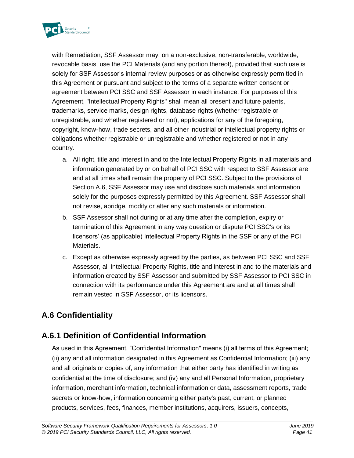

with Remediation, SSF Assessor may, on a non-exclusive, non-transferable, worldwide, revocable basis, use the PCI Materials (and any portion thereof), provided that such use is solely for SSF Assessor's internal review purposes or as otherwise expressly permitted in this Agreement or pursuant and subject to the terms of a separate written consent or agreement between PCI SSC and SSF Assessor in each instance. For purposes of this Agreement, "Intellectual Property Rights" shall mean all present and future patents, trademarks, service marks, design rights, database rights (whether registrable or unregistrable, and whether registered or not), applications for any of the foregoing, copyright, know-how, trade secrets, and all other industrial or intellectual property rights or obligations whether registrable or unregistrable and whether registered or not in any country.

- a. All right, title and interest in and to the Intellectual Property Rights in all materials and information generated by or on behalf of PCI SSC with respect to SSF Assessor are and at all times shall remain the property of PCI SSC. Subject to the provisions of Section A.6, SSF Assessor may use and disclose such materials and information solely for the purposes expressly permitted by this Agreement. SSF Assessor shall not revise, abridge, modify or alter any such materials or information.
- b. SSF Assessor shall not during or at any time after the completion, expiry or termination of this Agreement in any way question or dispute PCI SSC's or its licensors' (as applicable) Intellectual Property Rights in the SSF or any of the PCI Materials.
- c. Except as otherwise expressly agreed by the parties, as between PCI SSC and SSF Assessor, all Intellectual Property Rights, title and interest in and to the materials and information created by SSF Assessor and submitted by SSF Assessor to PCI SSC in connection with its performance under this Agreement are and at all times shall remain vested in SSF Assessor, or its licensors.

## **A.6 Confidentiality**

## **A.6.1 Definition of Confidential Information**

As used in this Agreement, "Confidential Information" means (i) all terms of this Agreement; (ii) any and all information designated in this Agreement as Confidential Information; (iii) any and all originals or copies of, any information that either party has identified in writing as confidential at the time of disclosure; and (iv) any and all Personal Information, proprietary information, merchant information, technical information or data, assessment reports, trade secrets or know-how, information concerning either party's past, current, or planned products, services, fees, finances, member institutions, acquirers, issuers, concepts,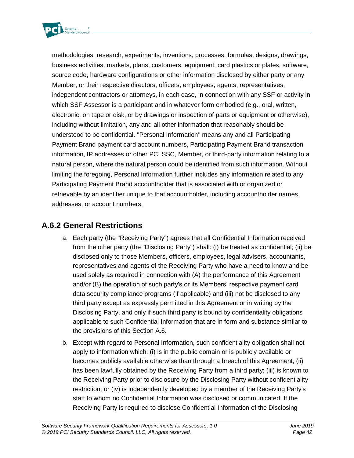

methodologies, research, experiments, inventions, processes, formulas, designs, drawings, business activities, markets, plans, customers, equipment, card plastics or plates, software, source code, hardware configurations or other information disclosed by either party or any Member, or their respective directors, officers, employees, agents, representatives, independent contractors or attorneys, in each case, in connection with any SSF or activity in which SSF Assessor is a participant and in whatever form embodied (e.g., oral, written, electronic, on tape or disk, or by drawings or inspection of parts or equipment or otherwise), including without limitation, any and all other information that reasonably should be understood to be confidential. "Personal Information" means any and all Participating Payment Brand payment card account numbers, Participating Payment Brand transaction information, IP addresses or other PCI SSC, Member, or third-party information relating to a natural person, where the natural person could be identified from such information. Without limiting the foregoing, Personal Information further includes any information related to any Participating Payment Brand accountholder that is associated with or organized or retrievable by an identifier unique to that accountholder, including accountholder names, addresses, or account numbers.

### **A.6.2 General Restrictions**

- a. Each party (the "Receiving Party") agrees that all Confidential Information received from the other party (the "Disclosing Party") shall: (i) be treated as confidential; (ii) be disclosed only to those Members, officers, employees, legal advisers, accountants, representatives and agents of the Receiving Party who have a need to know and be used solely as required in connection with (A) the performance of this Agreement and/or (B) the operation of such party's or its Members' respective payment card data security compliance programs (if applicable) and (iii) not be disclosed to any third party except as expressly permitted in this Agreement or in writing by the Disclosing Party, and only if such third party is bound by confidentiality obligations applicable to such Confidential Information that are in form and substance similar to the provisions of this Section A.6.
- b. Except with regard to Personal Information, such confidentiality obligation shall not apply to information which: (i) is in the public domain or is publicly available or becomes publicly available otherwise than through a breach of this Agreement; (ii) has been lawfully obtained by the Receiving Party from a third party; (iii) is known to the Receiving Party prior to disclosure by the Disclosing Party without confidentiality restriction; or (iv) is independently developed by a member of the Receiving Party's staff to whom no Confidential Information was disclosed or communicated. If the Receiving Party is required to disclose Confidential Information of the Disclosing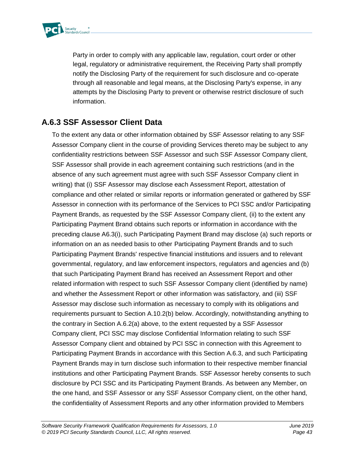

Party in order to comply with any applicable law, regulation, court order or other legal, regulatory or administrative requirement, the Receiving Party shall promptly notify the Disclosing Party of the requirement for such disclosure and co-operate through all reasonable and legal means, at the Disclosing Party's expense, in any attempts by the Disclosing Party to prevent or otherwise restrict disclosure of such information.

### **A.6.3 SSF Assessor Client Data**

To the extent any data or other information obtained by SSF Assessor relating to any SSF Assessor Company client in the course of providing Services thereto may be subject to any confidentiality restrictions between SSF Assessor and such SSF Assessor Company client, SSF Assessor shall provide in each agreement containing such restrictions (and in the absence of any such agreement must agree with such SSF Assessor Company client in writing) that (i) SSF Assessor may disclose each Assessment Report, attestation of compliance and other related or similar reports or information generated or gathered by SSF Assessor in connection with its performance of the Services to PCI SSC and/or Participating Payment Brands, as requested by the SSF Assessor Company client, (ii) to the extent any Participating Payment Brand obtains such reports or information in accordance with the preceding clause A6.3(i), such Participating Payment Brand may disclose (a) such reports or information on an as needed basis to other Participating Payment Brands and to such Participating Payment Brands' respective financial institutions and issuers and to relevant governmental, regulatory, and law enforcement inspectors, regulators and agencies and (b) that such Participating Payment Brand has received an Assessment Report and other related information with respect to such SSF Assessor Company client (identified by name) and whether the Assessment Report or other information was satisfactory, and (iii) SSF Assessor may disclose such information as necessary to comply with its obligations and requirements pursuant to Section A.10.2(b) below. Accordingly, notwithstanding anything to the contrary in Section A.6.2(a) above, to the extent requested by a SSF Assessor Company client, PCI SSC may disclose Confidential Information relating to such SSF Assessor Company client and obtained by PCI SSC in connection with this Agreement to Participating Payment Brands in accordance with this Section A.6.3, and such Participating Payment Brands may in turn disclose such information to their respective member financial institutions and other Participating Payment Brands. SSF Assessor hereby consents to such disclosure by PCI SSC and its Participating Payment Brands. As between any Member, on the one hand, and SSF Assessor or any SSF Assessor Company client, on the other hand, the confidentiality of Assessment Reports and any other information provided to Members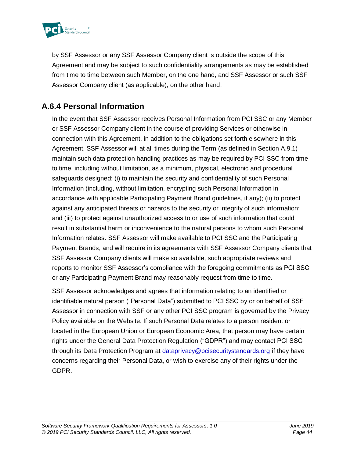

by SSF Assessor or any SSF Assessor Company client is outside the scope of this Agreement and may be subject to such confidentiality arrangements as may be established from time to time between such Member, on the one hand, and SSF Assessor or such SSF Assessor Company client (as applicable), on the other hand.

### **A.6.4 Personal Information**

In the event that SSF Assessor receives Personal Information from PCI SSC or any Member or SSF Assessor Company client in the course of providing Services or otherwise in connection with this Agreement, in addition to the obligations set forth elsewhere in this Agreement, SSF Assessor will at all times during the Term (as defined in Section A.9.1) maintain such data protection handling practices as may be required by PCI SSC from time to time, including without limitation, as a minimum, physical, electronic and procedural safeguards designed: (i) to maintain the security and confidentiality of such Personal Information (including, without limitation, encrypting such Personal Information in accordance with applicable Participating Payment Brand guidelines, if any); (ii) to protect against any anticipated threats or hazards to the security or integrity of such information; and (iii) to protect against unauthorized access to or use of such information that could result in substantial harm or inconvenience to the natural persons to whom such Personal Information relates. SSF Assessor will make available to PCI SSC and the Participating Payment Brands, and will require in its agreements with SSF Assessor Company clients that SSF Assessor Company clients will make so available, such appropriate reviews and reports to monitor SSF Assessor's compliance with the foregoing commitments as PCI SSC or any Participating Payment Brand may reasonably request from time to time.

SSF Assessor acknowledges and agrees that information relating to an identified or identifiable natural person ("Personal Data") submitted to PCI SSC by or on behalf of SSF Assessor in connection with SSF or any other PCI SSC program is governed by the Privacy Policy available on the Website. If such Personal Data relates to a person resident or located in the European Union or European Economic Area, that person may have certain rights under the General Data Protection Regulation ("GDPR") and may contact PCI SSC through its Data Protection Program at [dataprivacy@pcisecuritystandards.org](mailto:dataprivacy@pcisecuritystandards.org) if they have concerns regarding their Personal Data, or wish to exercise any of their rights under the GDPR.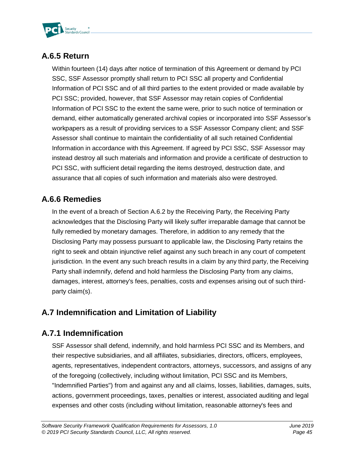

## **A.6.5 Return**

Within fourteen (14) days after notice of termination of this Agreement or demand by PCI SSC, SSF Assessor promptly shall return to PCI SSC all property and Confidential Information of PCI SSC and of all third parties to the extent provided or made available by PCI SSC; provided, however, that SSF Assessor may retain copies of Confidential Information of PCI SSC to the extent the same were, prior to such notice of termination or demand, either automatically generated archival copies or incorporated into SSF Assessor's workpapers as a result of providing services to a SSF Assessor Company client; and SSF Assessor shall continue to maintain the confidentiality of all such retained Confidential Information in accordance with this Agreement. If agreed by PCI SSC, SSF Assessor may instead destroy all such materials and information and provide a certificate of destruction to PCI SSC, with sufficient detail regarding the items destroyed, destruction date, and assurance that all copies of such information and materials also were destroyed.

## **A.6.6 Remedies**

In the event of a breach of Section A.6.2 by the Receiving Party, the Receiving Party acknowledges that the Disclosing Party will likely suffer irreparable damage that cannot be fully remedied by monetary damages. Therefore, in addition to any remedy that the Disclosing Party may possess pursuant to applicable law, the Disclosing Party retains the right to seek and obtain injunctive relief against any such breach in any court of competent jurisdiction. In the event any such breach results in a claim by any third party, the Receiving Party shall indemnify, defend and hold harmless the Disclosing Party from any claims, damages, interest, attorney's fees, penalties, costs and expenses arising out of such thirdparty claim(s).

## **A.7 Indemnification and Limitation of Liability**

### **A.7.1 Indemnification**

SSF Assessor shall defend, indemnify, and hold harmless PCI SSC and its Members, and their respective subsidiaries, and all affiliates, subsidiaries, directors, officers, employees, agents, representatives, independent contractors, attorneys, successors, and assigns of any of the foregoing (collectively, including without limitation, PCI SSC and its Members, "Indemnified Parties") from and against any and all claims, losses, liabilities, damages, suits, actions, government proceedings, taxes, penalties or interest, associated auditing and legal expenses and other costs (including without limitation, reasonable attorney's fees and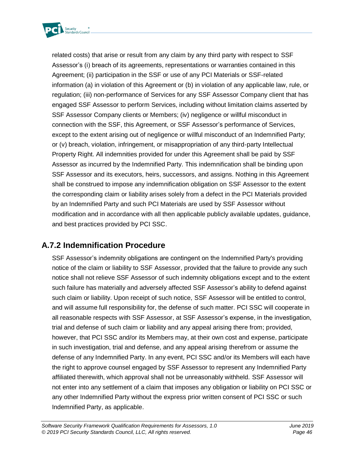

related costs) that arise or result from any claim by any third party with respect to SSF Assessor's (i) breach of its agreements, representations or warranties contained in this Agreement; (ii) participation in the SSF or use of any PCI Materials or SSF-related information (a) in violation of this Agreement or (b) in violation of any applicable law, rule, or regulation; (iii) non-performance of Services for any SSF Assessor Company client that has engaged SSF Assessor to perform Services, including without limitation claims asserted by SSF Assessor Company clients or Members; (iv) negligence or willful misconduct in connection with the SSF, this Agreement, or SSF Assessor's performance of Services, except to the extent arising out of negligence or willful misconduct of an Indemnified Party; or (v) breach, violation, infringement, or misappropriation of any third-party Intellectual Property Right. All indemnities provided for under this Agreement shall be paid by SSF Assessor as incurred by the Indemnified Party. This indemnification shall be binding upon SSF Assessor and its executors, heirs, successors, and assigns. Nothing in this Agreement shall be construed to impose any indemnification obligation on SSF Assessor to the extent the corresponding claim or liability arises solely from a defect in the PCI Materials provided by an Indemnified Party and such PCI Materials are used by SSF Assessor without modification and in accordance with all then applicable publicly available updates, guidance, and best practices provided by PCI SSC.

### **A.7.2 Indemnification Procedure**

SSF Assessor's indemnity obligations are contingent on the Indemnified Party's providing notice of the claim or liability to SSF Assessor, provided that the failure to provide any such notice shall not relieve SSF Assessor of such indemnity obligations except and to the extent such failure has materially and adversely affected SSF Assessor's ability to defend against such claim or liability. Upon receipt of such notice, SSF Assessor will be entitled to control, and will assume full responsibility for, the defense of such matter. PCI SSC will cooperate in all reasonable respects with SSF Assessor, at SSF Assessor's expense, in the investigation, trial and defense of such claim or liability and any appeal arising there from; provided, however, that PCI SSC and/or its Members may, at their own cost and expense, participate in such investigation, trial and defense, and any appeal arising therefrom or assume the defense of any Indemnified Party. In any event, PCI SSC and/or its Members will each have the right to approve counsel engaged by SSF Assessor to represent any Indemnified Party affiliated therewith, which approval shall not be unreasonably withheld. SSF Assessor will not enter into any settlement of a claim that imposes any obligation or liability on PCI SSC or any other Indemnified Party without the express prior written consent of PCI SSC or such Indemnified Party, as applicable.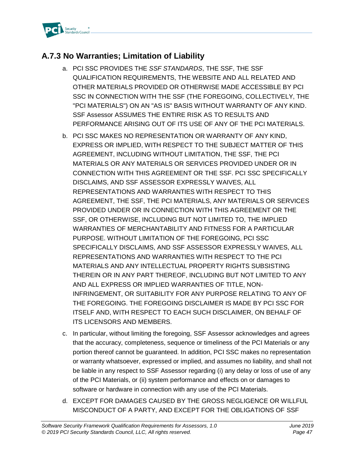

### **A.7.3 No Warranties; Limitation of Liability**

- a. PCI SSC PROVIDES THE *SSF STANDARDS*, THE SSF, THE SSF QUALIFICATION REQUIREMENTS, THE WEBSITE AND ALL RELATED AND OTHER MATERIALS PROVIDED OR OTHERWISE MADE ACCESSIBLE BY PCI SSC IN CONNECTION WITH THE SSF (THE FOREGOING, COLLECTIVELY, THE "PCI MATERIALS") ON AN "AS IS" BASIS WITHOUT WARRANTY OF ANY KIND. SSF Assessor ASSUMES THE ENTIRE RISK AS TO RESULTS AND PERFORMANCE ARISING OUT OF ITS USE OF ANY OF THE PCI MATERIALS.
- b. PCI SSC MAKES NO REPRESENTATION OR WARRANTY OF ANY KIND, EXPRESS OR IMPLIED, WITH RESPECT TO THE SUBJECT MATTER OF THIS AGREEMENT, INCLUDING WITHOUT LIMITATION, THE SSF, THE PCI MATERIALS OR ANY MATERIALS OR SERVICES PROVIDED UNDER OR IN CONNECTION WITH THIS AGREEMENT OR THE SSF. PCI SSC SPECIFICALLY DISCLAIMS, AND SSF ASSESSOR EXPRESSLY WAIVES, ALL REPRESENTATIONS AND WARRANTIES WITH RESPECT TO THIS AGREEMENT, THE SSF, THE PCI MATERIALS, ANY MATERIALS OR SERVICES PROVIDED UNDER OR IN CONNECTION WITH THIS AGREEMENT OR THE SSF, OR OTHERWISE, INCLUDING BUT NOT LIMITED TO, THE IMPLIED WARRANTIES OF MERCHANTABILITY AND FITNESS FOR A PARTICULAR PURPOSE. WITHOUT LIMITATION OF THE FOREGOING, PCI SSC SPECIFICALLY DISCLAIMS, AND SSF ASSESSOR EXPRESSLY WAIVES, ALL REPRESENTATIONS AND WARRANTIES WITH RESPECT TO THE PCI MATERIALS AND ANY INTELLECTUAL PROPERTY RIGHTS SUBSISTING THEREIN OR IN ANY PART THEREOF, INCLUDING BUT NOT LIMITED TO ANY AND ALL EXPRESS OR IMPLIED WARRANTIES OF TITLE, NON-INFRINGEMENT, OR SUITABILITY FOR ANY PURPOSE RELATING TO ANY OF THE FOREGOING. THE FOREGOING DISCLAIMER IS MADE BY PCI SSC FOR ITSELF AND, WITH RESPECT TO EACH SUCH DISCLAIMER, ON BEHALF OF ITS LICENSORS AND MEMBERS.
- c. In particular, without limiting the foregoing, SSF Assessor acknowledges and agrees that the accuracy, completeness, sequence or timeliness of the PCI Materials or any portion thereof cannot be guaranteed. In addition, PCI SSC makes no representation or warranty whatsoever, expressed or implied, and assumes no liability, and shall not be liable in any respect to SSF Assessor regarding (i) any delay or loss of use of any of the PCI Materials, or (ii) system performance and effects on or damages to software or hardware in connection with any use of the PCI Materials.
- d. EXCEPT FOR DAMAGES CAUSED BY THE GROSS NEGLIGENCE OR WILLFUL MISCONDUCT OF A PARTY, AND EXCEPT FOR THE OBLIGATIONS OF SSF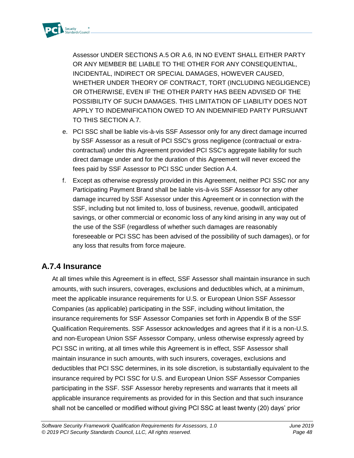

Assessor UNDER SECTIONS A.5 OR A.6, IN NO EVENT SHALL EITHER PARTY OR ANY MEMBER BE LIABLE TO THE OTHER FOR ANY CONSEQUENTIAL, INCIDENTAL, INDIRECT OR SPECIAL DAMAGES, HOWEVER CAUSED, WHETHER UNDER THEORY OF CONTRACT, TORT (INCLUDING NEGLIGENCE) OR OTHERWISE, EVEN IF THE OTHER PARTY HAS BEEN ADVISED OF THE POSSIBILITY OF SUCH DAMAGES. THIS LIMITATION OF LIABILITY DOES NOT APPLY TO INDEMNIFICATION OWED TO AN INDEMNIFIED PARTY PURSUANT TO THIS SECTION A.7.

- e. PCI SSC shall be liable vis-à-vis SSF Assessor only for any direct damage incurred by SSF Assessor as a result of PCI SSC's gross negligence (contractual or extracontractual) under this Agreement provided PCI SSC's aggregate liability for such direct damage under and for the duration of this Agreement will never exceed the fees paid by SSF Assessor to PCI SSC under Section A.4.
- f. Except as otherwise expressly provided in this Agreement, neither PCI SSC nor any Participating Payment Brand shall be liable vis-à-vis SSF Assessor for any other damage incurred by SSF Assessor under this Agreement or in connection with the SSF, including but not limited to, loss of business, revenue, goodwill, anticipated savings, or other commercial or economic loss of any kind arising in any way out of the use of the SSF (regardless of whether such damages are reasonably foreseeable or PCI SSC has been advised of the possibility of such damages), or for any loss that results from force majeure.

### **A.7.4 Insurance**

At all times while this Agreement is in effect, SSF Assessor shall maintain insurance in such amounts, with such insurers, coverages, exclusions and deductibles which, at a minimum, meet the applicable insurance requirements for U.S. or European Union SSF Assessor Companies (as applicable) participating in the SSF, including without limitation, the insurance requirements for SSF Assessor Companies set forth in Appendix B of the SSF Qualification Requirements. SSF Assessor acknowledges and agrees that if it is a non-U.S. and non-European Union SSF Assessor Company, unless otherwise expressly agreed by PCI SSC in writing, at all times while this Agreement is in effect, SSF Assessor shall maintain insurance in such amounts, with such insurers, coverages, exclusions and deductibles that PCI SSC determines, in its sole discretion, is substantially equivalent to the insurance required by PCI SSC for U.S. and European Union SSF Assessor Companies participating in the SSF. SSF Assessor hereby represents and warrants that it meets all applicable insurance requirements as provided for in this Section and that such insurance shall not be cancelled or modified without giving PCI SSC at least twenty (20) days' prior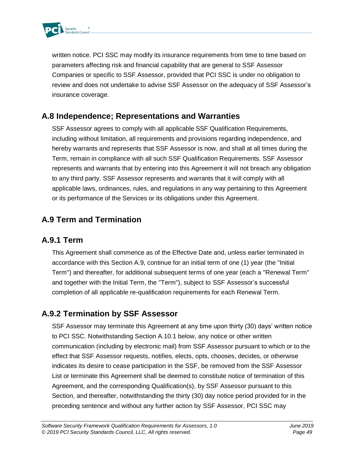

written notice. PCI SSC may modify its insurance requirements from time to time based on parameters affecting risk and financial capability that are general to SSF Assessor Companies or specific to SSF Assessor, provided that PCI SSC is under no obligation to review and does not undertake to advise SSF Assessor on the adequacy of SSF Assessor's insurance coverage.

### **A.8 Independence; Representations and Warranties**

SSF Assessor agrees to comply with all applicable SSF Qualification Requirements, including without limitation, all requirements and provisions regarding independence, and hereby warrants and represents that SSF Assessor is now, and shall at all times during the Term, remain in compliance with all such SSF Qualification Requirements. SSF Assessor represents and warrants that by entering into this Agreement it will not breach any obligation to any third party. SSF Assessor represents and warrants that it will comply with all applicable laws, ordinances, rules, and regulations in any way pertaining to this Agreement or its performance of the Services or its obligations under this Agreement.

## **A.9 Term and Termination**

### **A.9.1 Term**

This Agreement shall commence as of the Effective Date and, unless earlier terminated in accordance with this Section A.9, continue for an initial term of one (1) year (the "Initial Term") and thereafter, for additional subsequent terms of one year (each a "Renewal Term" and together with the Initial Term, the "Term"), subject to SSF Assessor's successful completion of all applicable re-qualification requirements for each Renewal Term.

### **A.9.2 Termination by SSF Assessor**

SSF Assessor may terminate this Agreement at any time upon thirty (30) days' written notice to PCI SSC. Notwithstanding Section A.10.1 below, any notice or other written communication (including by electronic mail) from SSF Assessor pursuant to which or to the effect that SSF Assessor requests, notifies, elects, opts, chooses, decides, or otherwise indicates its desire to cease participation in the SSF, be removed from the SSF Assessor List or terminate this Agreement shall be deemed to constitute notice of termination of this Agreement, and the corresponding Qualification(s), by SSF Assessor pursuant to this Section, and thereafter, notwithstanding the thirty (30) day notice period provided for in the preceding sentence and without any further action by SSF Assessor, PCI SSC may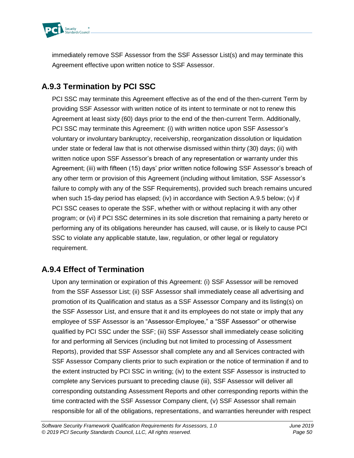

immediately remove SSF Assessor from the SSF Assessor List(s) and may terminate this Agreement effective upon written notice to SSF Assessor.

## **A.9.3 Termination by PCI SSC**

PCI SSC may terminate this Agreement effective as of the end of the then-current Term by providing SSF Assessor with written notice of its intent to terminate or not to renew this Agreement at least sixty (60) days prior to the end of the then-current Term. Additionally, PCI SSC may terminate this Agreement: (i) with written notice upon SSF Assessor's voluntary or involuntary bankruptcy, receivership, reorganization dissolution or liquidation under state or federal law that is not otherwise dismissed within thirty (30) days; (ii) with written notice upon SSF Assessor's breach of any representation or warranty under this Agreement; (iii) with fifteen (15) days' prior written notice following SSF Assessor's breach of any other term or provision of this Agreement (including without limitation, SSF Assessor's failure to comply with any of the SSF Requirements), provided such breach remains uncured when such 15-day period has elapsed; (iv) in accordance with Section A.9.5 below; (v) if PCI SSC ceases to operate the SSF, whether with or without replacing it with any other program; or (vi) if PCI SSC determines in its sole discretion that remaining a party hereto or performing any of its obligations hereunder has caused, will cause, or is likely to cause PCI SSC to violate any applicable statute, law, regulation, or other legal or regulatory requirement.

### **A.9.4 Effect of Termination**

Upon any termination or expiration of this Agreement: (i) SSF Assessor will be removed from the SSF Assessor List; (ii) SSF Assessor shall immediately cease all advertising and promotion of its Qualification and status as a SSF Assessor Company and its listing(s) on the SSF Assessor List, and ensure that it and its employees do not state or imply that any employee of SSF Assessor is an "Assessor-Employee," a "SSF Assessor" or otherwise qualified by PCI SSC under the SSF; (iii) SSF Assessor shall immediately cease soliciting for and performing all Services (including but not limited to processing of Assessment Reports), provided that SSF Assessor shall complete any and all Services contracted with SSF Assessor Company clients prior to such expiration or the notice of termination if and to the extent instructed by PCI SSC in writing; (iv) to the extent SSF Assessor is instructed to complete any Services pursuant to preceding clause (iii), SSF Assessor will deliver all corresponding outstanding Assessment Reports and other corresponding reports within the time contracted with the SSF Assessor Company client, (v) SSF Assessor shall remain responsible for all of the obligations, representations, and warranties hereunder with respect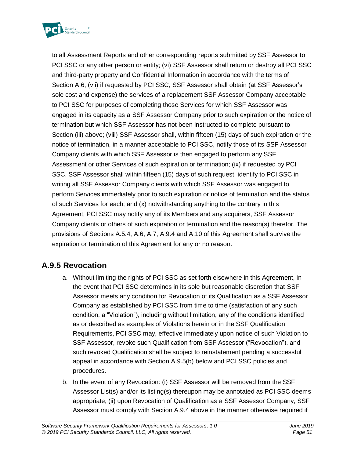

to all Assessment Reports and other corresponding reports submitted by SSF Assessor to PCI SSC or any other person or entity; (vi) SSF Assessor shall return or destroy all PCI SSC and third-party property and Confidential Information in accordance with the terms of Section A.6; (vii) if requested by PCI SSC, SSF Assessor shall obtain (at SSF Assessor's sole cost and expense) the services of a replacement SSF Assessor Company acceptable to PCI SSC for purposes of completing those Services for which SSF Assessor was engaged in its capacity as a SSF Assessor Company prior to such expiration or the notice of termination but which SSF Assessor has not been instructed to complete pursuant to Section (iii) above; (viii) SSF Assessor shall, within fifteen (15) days of such expiration or the notice of termination, in a manner acceptable to PCI SSC, notify those of its SSF Assessor Company clients with which SSF Assessor is then engaged to perform any SSF Assessment or other Services of such expiration or termination; (ix) if requested by PCI SSC, SSF Assessor shall within fifteen (15) days of such request, identify to PCI SSC in writing all SSF Assessor Company clients with which SSF Assessor was engaged to perform Services immediately prior to such expiration or notice of termination and the status of such Services for each; and (x) notwithstanding anything to the contrary in this Agreement, PCI SSC may notify any of its Members and any acquirers, SSF Assessor Company clients or others of such expiration or termination and the reason(s) therefor. The provisions of Sections A.5.4, A.6, A.7, A.9.4 and A.10 of this Agreement shall survive the expiration or termination of this Agreement for any or no reason.

### **A.9.5 Revocation**

- a. Without limiting the rights of PCI SSC as set forth elsewhere in this Agreement, in the event that PCI SSC determines in its sole but reasonable discretion that SSF Assessor meets any condition for Revocation of its Qualification as a SSF Assessor Company as established by PCI SSC from time to time (satisfaction of any such condition, a "Violation"), including without limitation, any of the conditions identified as or described as examples of Violations herein or in the SSF Qualification Requirements, PCI SSC may, effective immediately upon notice of such Violation to SSF Assessor, revoke such Qualification from SSF Assessor ("Revocation"), and such revoked Qualification shall be subject to reinstatement pending a successful appeal in accordance with Section A.9.5(b) below and PCI SSC policies and procedures.
- b. In the event of any Revocation: (i) SSF Assessor will be removed from the SSF Assessor List(s) and/or its listing(s) thereupon may be annotated as PCI SSC deems appropriate; (ii) upon Revocation of Qualification as a SSF Assessor Company, SSF Assessor must comply with Section A.9.4 above in the manner otherwise required if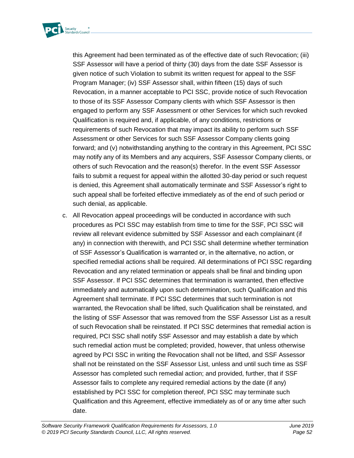

this Agreement had been terminated as of the effective date of such Revocation; (iii) SSF Assessor will have a period of thirty (30) days from the date SSF Assessor is given notice of such Violation to submit its written request for appeal to the SSF Program Manager; (iv) SSF Assessor shall, within fifteen (15) days of such Revocation, in a manner acceptable to PCI SSC, provide notice of such Revocation to those of its SSF Assessor Company clients with which SSF Assessor is then engaged to perform any SSF Assessment or other Services for which such revoked Qualification is required and, if applicable, of any conditions, restrictions or requirements of such Revocation that may impact its ability to perform such SSF Assessment or other Services for such SSF Assessor Company clients going forward; and (v) notwithstanding anything to the contrary in this Agreement, PCI SSC may notify any of its Members and any acquirers, SSF Assessor Company clients, or others of such Revocation and the reason(s) therefor. In the event SSF Assessor fails to submit a request for appeal within the allotted 30-day period or such request is denied, this Agreement shall automatically terminate and SSF Assessor's right to such appeal shall be forfeited effective immediately as of the end of such period or such denial, as applicable.

c. All Revocation appeal proceedings will be conducted in accordance with such procedures as PCI SSC may establish from time to time for the SSF, PCI SSC will review all relevant evidence submitted by SSF Assessor and each complainant (if any) in connection with therewith, and PCI SSC shall determine whether termination of SSF Assessor's Qualification is warranted or, in the alternative, no action, or specified remedial actions shall be required. All determinations of PCI SSC regarding Revocation and any related termination or appeals shall be final and binding upon SSF Assessor. If PCI SSC determines that termination is warranted, then effective immediately and automatically upon such determination, such Qualification and this Agreement shall terminate. If PCI SSC determines that such termination is not warranted, the Revocation shall be lifted, such Qualification shall be reinstated, and the listing of SSF Assessor that was removed from the SSF Assessor List as a result of such Revocation shall be reinstated. If PCI SSC determines that remedial action is required, PCI SSC shall notify SSF Assessor and may establish a date by which such remedial action must be completed; provided, however, that unless otherwise agreed by PCI SSC in writing the Revocation shall not be lifted, and SSF Assessor shall not be reinstated on the SSF Assessor List, unless and until such time as SSF Assessor has completed such remedial action; and provided, further, that if SSF Assessor fails to complete any required remedial actions by the date (if any) established by PCI SSC for completion thereof, PCI SSC may terminate such Qualification and this Agreement, effective immediately as of or any time after such date.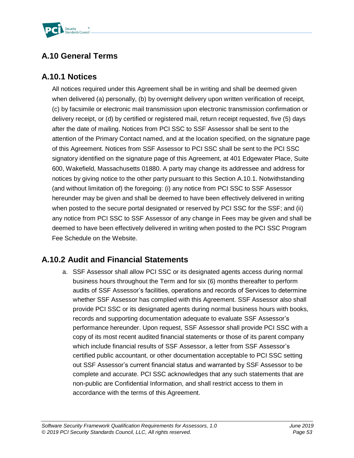

## **A.10 General Terms**

### **A.10.1 Notices**

All notices required under this Agreement shall be in writing and shall be deemed given when delivered (a) personally, (b) by overnight delivery upon written verification of receipt, (c) by facsimile or electronic mail transmission upon electronic transmission confirmation or delivery receipt, or (d) by certified or registered mail, return receipt requested, five (5) days after the date of mailing. Notices from PCI SSC to SSF Assessor shall be sent to the attention of the Primary Contact named, and at the location specified, on the signature page of this Agreement. Notices from SSF Assessor to PCI SSC shall be sent to the PCI SSC signatory identified on the signature page of this Agreement, at 401 Edgewater Place, Suite 600, Wakefield, Massachusetts 01880. A party may change its addressee and address for notices by giving notice to the other party pursuant to this Section A.10.1. Notwithstanding (and without limitation of) the foregoing: (i) any notice from PCI SSC to SSF Assessor hereunder may be given and shall be deemed to have been effectively delivered in writing when posted to the secure portal designated or reserved by PCI SSC for the SSF; and (ii) any notice from PCI SSC to SSF Assessor of any change in Fees may be given and shall be deemed to have been effectively delivered in writing when posted to the PCI SSC Program Fee Schedule on the Website.

## **A.10.2 Audit and Financial Statements**

a. SSF Assessor shall allow PCI SSC or its designated agents access during normal business hours throughout the Term and for six (6) months thereafter to perform audits of SSF Assessor's facilities, operations and records of Services to determine whether SSF Assessor has complied with this Agreement. SSF Assessor also shall provide PCI SSC or its designated agents during normal business hours with books, records and supporting documentation adequate to evaluate SSF Assessor's performance hereunder. Upon request, SSF Assessor shall provide PCI SSC with a copy of its most recent audited financial statements or those of its parent company which include financial results of SSF Assessor, a letter from SSF Assessor's certified public accountant, or other documentation acceptable to PCI SSC setting out SSF Assessor's current financial status and warranted by SSF Assessor to be complete and accurate. PCI SSC acknowledges that any such statements that are non-public are Confidential Information, and shall restrict access to them in accordance with the terms of this Agreement.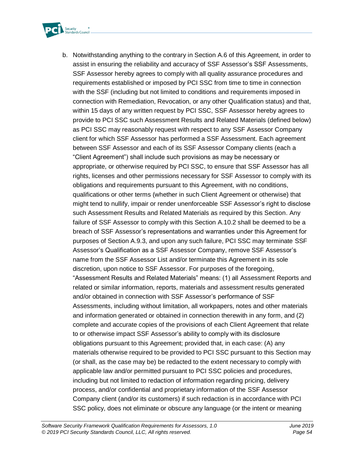

b. Notwithstanding anything to the contrary in Section A.6 of this Agreement, in order to assist in ensuring the reliability and accuracy of SSF Assessor's SSF Assessments, SSF Assessor hereby agrees to comply with all quality assurance procedures and requirements established or imposed by PCI SSC from time to time in connection with the SSF (including but not limited to conditions and requirements imposed in connection with Remediation, Revocation, or any other Qualification status) and that, within 15 days of any written request by PCI SSC, SSF Assessor hereby agrees to provide to PCI SSC such Assessment Results and Related Materials (defined below) as PCI SSC may reasonably request with respect to any SSF Assessor Company client for which SSF Assessor has performed a SSF Assessment. Each agreement between SSF Assessor and each of its SSF Assessor Company clients (each a "Client Agreement") shall include such provisions as may be necessary or appropriate, or otherwise required by PCI SSC, to ensure that SSF Assessor has all rights, licenses and other permissions necessary for SSF Assessor to comply with its obligations and requirements pursuant to this Agreement, with no conditions, qualifications or other terms (whether in such Client Agreement or otherwise) that might tend to nullify, impair or render unenforceable SSF Assessor's right to disclose such Assessment Results and Related Materials as required by this Section. Any failure of SSF Assessor to comply with this Section A.10.2 shall be deemed to be a breach of SSF Assessor's representations and warranties under this Agreement for purposes of Section A.9.3, and upon any such failure, PCI SSC may terminate SSF Assessor's Qualification as a SSF Assessor Company, remove SSF Assessor's name from the SSF Assessor List and/or terminate this Agreement in its sole discretion, upon notice to SSF Assessor. For purposes of the foregoing, "Assessment Results and Related Materials" means: (1) all Assessment Reports and related or similar information, reports, materials and assessment results generated and/or obtained in connection with SSF Assessor's performance of SSF Assessments, including without limitation, all workpapers, notes and other materials and information generated or obtained in connection therewith in any form, and (2) complete and accurate copies of the provisions of each Client Agreement that relate to or otherwise impact SSF Assessor's ability to comply with its disclosure obligations pursuant to this Agreement; provided that, in each case: (A) any materials otherwise required to be provided to PCI SSC pursuant to this Section may (or shall, as the case may be) be redacted to the extent necessary to comply with applicable law and/or permitted pursuant to PCI SSC policies and procedures, including but not limited to redaction of information regarding pricing, delivery process, and/or confidential and proprietary information of the SSF Assessor Company client (and/or its customers) if such redaction is in accordance with PCI SSC policy, does not eliminate or obscure any language (or the intent or meaning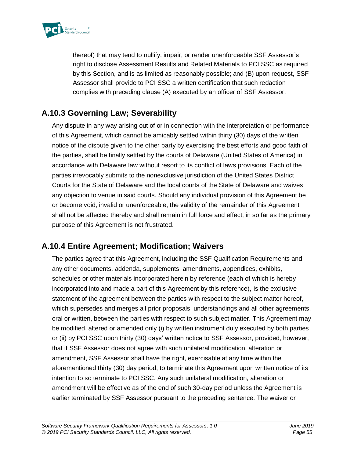

thereof) that may tend to nullify, impair, or render unenforceable SSF Assessor's right to disclose Assessment Results and Related Materials to PCI SSC as required by this Section, and is as limited as reasonably possible; and (B) upon request, SSF Assessor shall provide to PCI SSC a written certification that such redaction complies with preceding clause (A) executed by an officer of SSF Assessor.

### **A.10.3 Governing Law; Severability**

Any dispute in any way arising out of or in connection with the interpretation or performance of this Agreement, which cannot be amicably settled within thirty (30) days of the written notice of the dispute given to the other party by exercising the best efforts and good faith of the parties, shall be finally settled by the courts of Delaware (United States of America) in accordance with Delaware law without resort to its conflict of laws provisions. Each of the parties irrevocably submits to the nonexclusive jurisdiction of the United States District Courts for the State of Delaware and the local courts of the State of Delaware and waives any objection to venue in said courts. Should any individual provision of this Agreement be or become void, invalid or unenforceable, the validity of the remainder of this Agreement shall not be affected thereby and shall remain in full force and effect, in so far as the primary purpose of this Agreement is not frustrated.

### **A.10.4 Entire Agreement; Modification; Waivers**

The parties agree that this Agreement, including the SSF Qualification Requirements and any other documents, addenda, supplements, amendments, appendices, exhibits, schedules or other materials incorporated herein by reference (each of which is hereby incorporated into and made a part of this Agreement by this reference), is the exclusive statement of the agreement between the parties with respect to the subject matter hereof, which supersedes and merges all prior proposals, understandings and all other agreements, oral or written, between the parties with respect to such subject matter. This Agreement may be modified, altered or amended only (i) by written instrument duly executed by both parties or (ii) by PCI SSC upon thirty (30) days' written notice to SSF Assessor, provided, however, that if SSF Assessor does not agree with such unilateral modification, alteration or amendment, SSF Assessor shall have the right, exercisable at any time within the aforementioned thirty (30) day period, to terminate this Agreement upon written notice of its intention to so terminate to PCI SSC. Any such unilateral modification, alteration or amendment will be effective as of the end of such 30-day period unless the Agreement is earlier terminated by SSF Assessor pursuant to the preceding sentence. The waiver or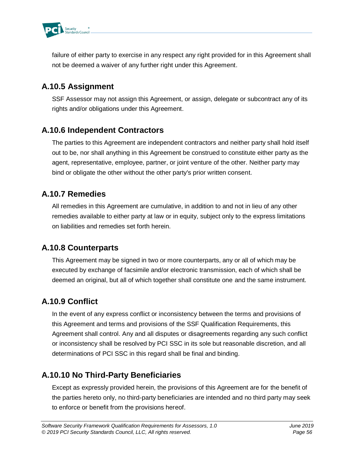

failure of either party to exercise in any respect any right provided for in this Agreement shall not be deemed a waiver of any further right under this Agreement.

## **A.10.5 Assignment**

SSF Assessor may not assign this Agreement, or assign, delegate or subcontract any of its rights and/or obligations under this Agreement.

### **A.10.6 Independent Contractors**

The parties to this Agreement are independent contractors and neither party shall hold itself out to be, nor shall anything in this Agreement be construed to constitute either party as the agent, representative, employee, partner, or joint venture of the other. Neither party may bind or obligate the other without the other party's prior written consent.

## **A.10.7 Remedies**

All remedies in this Agreement are cumulative, in addition to and not in lieu of any other remedies available to either party at law or in equity, subject only to the express limitations on liabilities and remedies set forth herein.

### **A.10.8 Counterparts**

This Agreement may be signed in two or more counterparts, any or all of which may be executed by exchange of facsimile and/or electronic transmission, each of which shall be deemed an original, but all of which together shall constitute one and the same instrument.

## **A.10.9 Conflict**

In the event of any express conflict or inconsistency between the terms and provisions of this Agreement and terms and provisions of the SSF Qualification Requirements, this Agreement shall control. Any and all disputes or disagreements regarding any such conflict or inconsistency shall be resolved by PCI SSC in its sole but reasonable discretion, and all determinations of PCI SSC in this regard shall be final and binding.

## **A.10.10 No Third-Party Beneficiaries**

Except as expressly provided herein, the provisions of this Agreement are for the benefit of the parties hereto only, no third-party beneficiaries are intended and no third party may seek to enforce or benefit from the provisions hereof.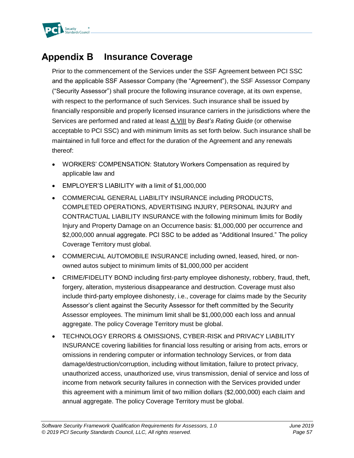

#### **Appendix B Insurance Coverage**

Prior to the commencement of the Services under the SSF Agreement between PCI SSC and the applicable SSF Assessor Company (the "Agreement"), the SSF Assessor Company ("Security Assessor") shall procure the following insurance coverage, at its own expense, with respect to the performance of such Services. Such insurance shall be issued by financially responsible and properly licensed insurance carriers in the jurisdictions where the Services are performed and rated at least A VIII by *Best's Rating Guide* (or otherwise acceptable to PCI SSC) and with minimum limits as set forth below. Such insurance shall be maintained in full force and effect for the duration of the Agreement and any renewals thereof:

- WORKERS' COMPENSATION: Statutory Workers Compensation as required by applicable law and
- EMPLOYER'S LIABILITY with a limit of \$1,000,000
- COMMERCIAL GENERAL LIABILITY INSURANCE including PRODUCTS, COMPLETED OPERATIONS, ADVERTISING INJURY, PERSONAL INJURY and CONTRACTUAL LIABILITY INSURANCE with the following minimum limits for Bodily Injury and Property Damage on an Occurrence basis: \$1,000,000 per occurrence and \$2,000,000 annual aggregate. PCI SSC to be added as "Additional Insured." The policy Coverage Territory must global.
- COMMERCIAL AUTOMOBILE INSURANCE including owned, leased, hired, or nonowned autos subject to minimum limits of \$1,000,000 per accident
- CRIME/FIDELITY BOND including first-party employee dishonesty, robbery, fraud, theft, forgery, alteration, mysterious disappearance and destruction. Coverage must also include third-party employee dishonesty, i.e., coverage for claims made by the Security Assessor's client against the Security Assessor for theft committed by the Security Assessor employees. The minimum limit shall be \$1,000,000 each loss and annual aggregate. The policy Coverage Territory must be global.
- TECHNOLOGY ERRORS & OMISSIONS, CYBER-RISK and PRIVACY LIABILITY INSURANCE covering liabilities for financial loss resulting or arising from acts, errors or omissions in rendering computer or information technology Services, or from data damage/destruction/corruption, including without limitation, failure to protect privacy, unauthorized access, unauthorized use, virus transmission, denial of service and loss of income from network security failures in connection with the Services provided under this agreement with a minimum limit of two million dollars (\$2,000,000) each claim and annual aggregate. The policy Coverage Territory must be global.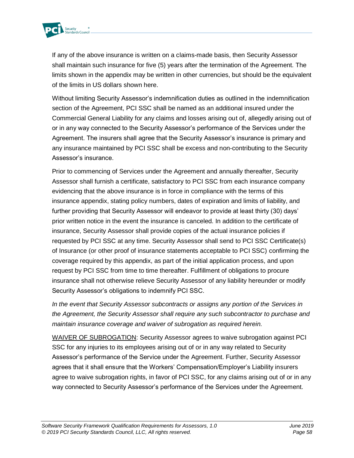

If any of the above insurance is written on a claims-made basis, then Security Assessor shall maintain such insurance for five (5) years after the termination of the Agreement. The limits shown in the appendix may be written in other currencies, but should be the equivalent of the limits in US dollars shown here.

Without limiting Security Assessor's indemnification duties as outlined in the indemnification section of the Agreement, PCI SSC shall be named as an additional insured under the Commercial General Liability for any claims and losses arising out of, allegedly arising out of or in any way connected to the Security Assessor's performance of the Services under the Agreement. The insurers shall agree that the Security Assessor's insurance is primary and any insurance maintained by PCI SSC shall be excess and non-contributing to the Security Assessor's insurance.

Prior to commencing of Services under the Agreement and annually thereafter, Security Assessor shall furnish a certificate, satisfactory to PCI SSC from each insurance company evidencing that the above insurance is in force in compliance with the terms of this insurance appendix, stating policy numbers, dates of expiration and limits of liability, and further providing that Security Assessor will endeavor to provide at least thirty (30) days' prior written notice in the event the insurance is canceled. In addition to the certificate of insurance, Security Assessor shall provide copies of the actual insurance policies if requested by PCI SSC at any time. Security Assessor shall send to PCI SSC Certificate(s) of Insurance (or other proof of insurance statements acceptable to PCI SSC) confirming the coverage required by this appendix, as part of the initial application process, and upon request by PCI SSC from time to time thereafter. Fulfillment of obligations to procure insurance shall not otherwise relieve Security Assessor of any liability hereunder or modify Security Assessor's obligations to indemnify PCI SSC.

*In the event that Security Assessor subcontracts or assigns any portion of the Services in the Agreement, the Security Assessor shall require any such subcontractor to purchase and maintain insurance coverage and waiver of subrogation as required herein.*

WAIVER OF SUBROGATION: Security Assessor agrees to waive subrogation against PCI SSC for any injuries to its employees arising out of or in any way related to Security Assessor's performance of the Service under the Agreement. Further, Security Assessor agrees that it shall ensure that the Workers' Compensation/Employer's Liability insurers agree to waive subrogation rights, in favor of PCI SSC, for any claims arising out of or in any way connected to Security Assessor's performance of the Services under the Agreement.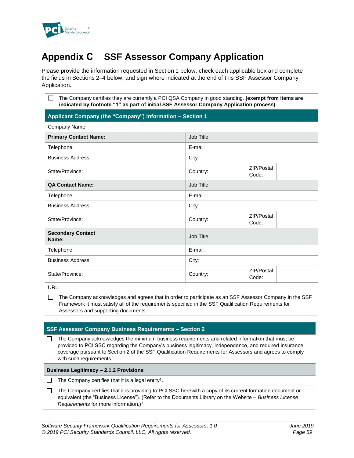

#### **SSF Assessor Company Application Appendix C**

Please provide the information requested in Section 1 below, check each applicable box and complete the fields in Sections 2–4 below, and sign where indicated at the end of this SSF Assessor Company Application.

The Company certifies they are currently a PCI QSA Company in good standing. **(exempt from items are indicated by footnote "1" as part of initial SSF Assessor Company Application process)**

|                                   | Applicant Company (the "Company") Information - Section 1 |                     |  |
|-----------------------------------|-----------------------------------------------------------|---------------------|--|
| Company Name:                     |                                                           |                     |  |
| <b>Primary Contact Name:</b>      | Job Title:                                                |                     |  |
| Telephone:                        | E-mail:                                                   |                     |  |
| <b>Business Address:</b>          | City:                                                     |                     |  |
| State/Province:                   | Country:                                                  | ZIP/Postal<br>Code: |  |
| <b>QA Contact Name:</b>           | Job Title:                                                |                     |  |
| Telephone:                        | E-mail:                                                   |                     |  |
| <b>Business Address:</b>          | City:                                                     |                     |  |
| State/Province:                   | Country:                                                  | ZIP/Postal<br>Code: |  |
| <b>Secondary Contact</b><br>Name: | Job Title:                                                |                     |  |
| Telephone:                        | E-mail:                                                   |                     |  |
| <b>Business Address:</b>          | City:                                                     |                     |  |
| State/Province:                   | Country:                                                  | ZIP/Postal<br>Code: |  |
| URL:                              |                                                           |                     |  |

 $\Box$  The Company acknowledges and agrees that in order to participate as an SSF Assessor Company in the SSF Framework it must satisfy all of the requirements specified in the SSF Qualification Requirements for Assessors and supporting documents

#### **SSF Assessor Company Business Requirements – Section 2**

 $\Box$  The Company acknowledges the minimum business requirements and related information that must be provided to PCI SSC regarding the Company's business legitimacy, independence, and required insurance coverage pursuant to Section 2 of the SSF Qualification Requirements for Assessors and agrees to comply with such requirements.

**Business Legitimacy – 2.1.2 Provisions**

The Company certifies that it is a legal entity<sup>1</sup>.

The Company certifies that it is providing to PCI SSC herewith a copy of its current formation document or  $\Box$ equivalent (the "Business License"). (Refer to the Documents Library on the Website – *Business License Requirements* for more information.)<sup>1</sup>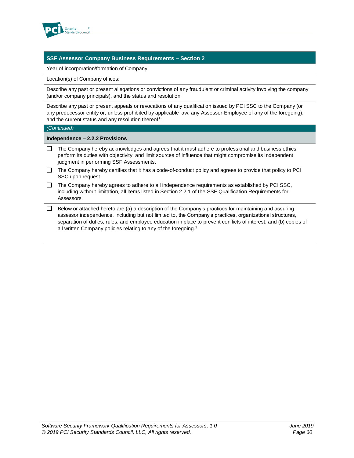

#### **SSF Assessor Company Business Requirements – Section 2**

Year of incorporation/formation of Company:

Location(s) of Company offices:

Describe any past or present allegations or convictions of any fraudulent or criminal activity involving the company (and/or company principals), and the status and resolution:

Describe any past or present appeals or revocations of any qualification issued by PCI SSC to the Company (or any predecessor entity or, unless prohibited by applicable law, any Assessor-Employee of any of the foregoing), and the current status and any resolution thereof<sup>1</sup>:

#### *(Continued)*

**Independence – 2.2.2 Provisions**

- $\Box$  The Company hereby acknowledges and agrees that it must adhere to professional and business ethics, perform its duties with objectivity, and limit sources of influence that might compromise its independent judgment in performing SSF Assessments.
- $\Box$  The Company hereby certifies that it has a code-of-conduct policy and agrees to provide that policy to PCI SSC upon request.
- $\Box$  The Company hereby agrees to adhere to all independence requirements as established by PCI SSC, including without limitation, all items listed in Section 2.2.1 of the SSF Qualification Requirements for Assessors*.*
- $\Box$  Below or attached hereto are (a) a description of the Company's practices for maintaining and assuring assessor independence, including but not limited to, the Company's practices, organizational structures, separation of duties, rules, and employee education in place to prevent conflicts of interest, and (b) copies of all written Company policies relating to any of the foregoing.<sup>1</sup>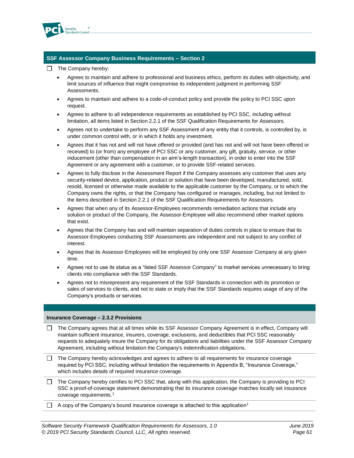

#### **SSF Assessor Company Business Requirements – Section 2**

- $\Box$  The Company hereby:
	- Agrees to maintain and adhere to professional and business ethics, perform its duties with objectivity, and limit sources of influence that might compromise its independent judgment in performing SSF Assessments.
	- Agrees to maintain and adhere to a code-of-conduct policy and provide the policy to PCI SSC upon request.
	- Agrees to adhere to all independence requirements as established by PCI SSC, including without limitation, all items listed in Section 2.2.1 of the SSF Qualification Requirements for Assessors.
	- Agrees not to undertake to perform any SSF Assessment of any entity that it controls, is controlled by, is under common control with, or in which it holds any investment.
	- Agrees that it has not and will not have offered or provided (and has not and will not have been offered or received) to (or from) any employee of PCI SSC or any customer, any gift, gratuity, service, or other inducement (other than compensation in an arm's-length transaction), in order to enter into the SSF Agreement or any agreement with a customer, or to provide SSF-related services.
	- Agrees to fully disclose in the Assessment Report if the Company assesses any customer that uses any security-related device, application, product or solution that have been developed, manufactured, sold, resold, licensed or otherwise made available to the applicable customer by the Company, or to which the Company owns the rights, or that the Company has configured or manages, including, but not limited to the items described in Section 2.2.1 of the SSF Qualification Requirements for Assessors*.*
	- Agrees that when any of its Assessor-Employees recommends remediation actions that include any solution or product of the Company, the Assessor-Employee will also recommend other market options that exist.
	- Agrees that the Company has and will maintain separation of duties controls in place to ensure that its Assessor-Employees conducting SSF Assessments are independent and not subject to any conflict of interest.
	- Agrees that its Assessor-Employees will be employed by only one SSF Assessor Company at any given time.
	- Agrees not to use its status as a "listed SSF Assessor Company" to market services unnecessary to bring clients into compliance with the SSF Standards.
	- Agrees not to misrepresent any requirement of the SSF Standards in connection with its promotion or sales of services to clients, and not to state or imply that the SSF Standards requires usage of any of the Company's products or services.

#### **Insurance Coverage – 2.3.2 Provisions**

- The Company agrees that at all times while its SSF Assessor Company Agreement is in effect, Company will maintain sufficient insurance, insurers, coverage, exclusions, and deductibles that PCI SSC reasonably requests to adequately insure the Company for its obligations and liabilities under the SSF Assessor Company Agreement, including without limitation the Company's indemnification obligations.
- $\Box$  The Company hereby acknowledges and agrees to adhere to all requirements for insurance coverage required by PCI SSC, including without limitation the requirements in Appendix B, "Insurance Coverage," which includes details of required insurance coverage.
- $\Box$  The Company hereby certifies to PCI SSC that, along with this application, the Company is providing to PCI SSC a proof-of-coverage statement demonstrating that its insurance coverage matches locally set insurance coverage requirements.<sup>1</sup>
- $\Box$  A copy of the Company's bound insurance coverage is attached to this application<sup>1</sup>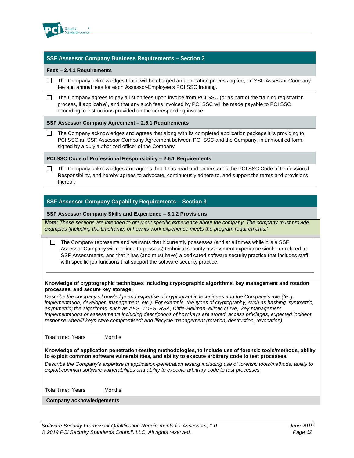

#### **SSF Assessor Company Business Requirements – Section 2**

#### **Fees – 2.4.1 Requirements**

 $\Box$  The Company acknowledges that it will be charged an application processing fee, an SSF Assessor Company fee and annual fees for each Assessor-Employee's PCI SSC training.

 $\Box$  The Company agrees to pay all such fees upon invoice from PCI SSC (or as part of the training registration process, if applicable), and that any such fees invoiced by PCI SSC will be made payable to PCI SSC according to instructions provided on the corresponding invoice.

#### **SSF Assessor Company Agreement – 2.5.1 Requirements**

The Company acknowledges and agrees that along with its completed application package it is providing to  $\Box$ PCI SSC an SSF Assessor Company Agreement between PCI SSC and the Company, in unmodified form, signed by a duly authorized officer of the Company.

#### **PCI SSC Code of Professional Responsibility – 2.6.1 Requirements**

The Company acknowledges and agrees that it has read and understands the PCI SSC Code of Professional  $\Box$ Responsibility, and hereby agrees to advocate, continuously adhere to, and support the terms and provisions thereof.

#### **SSF Assessor Company Capability Requirements – Section 3**

#### **SSF Assessor Company Skills and Experience – 3.1.2 Provisions**

*Note: These sections are intended to draw out specific experience about the company. The company must provide examples (including the timeframe) of how its work experience meets the program requirements.'*

 $\Box$  The Company represents and warrants that it currently possesses (and at all times while it is a SSF Assessor Company will continue to possess) technical security assessment experience similar or related to SSF Assessments, and that it has (and must have) a dedicated software security practice that includes staff with specific job functions that support the software security practice.

#### **Knowledge of cryptographic techniques including cryptographic algorithms, key management and rotation processes, and secure key storage:**

*Describe the company's knowledge and expertise of cryptographic techniques and the Company's role ((e.g., implementation, developer, management, etc.). For example, the types of cryptography, such as hashing, symmetric, asymmetric; the algorithms, such as AES, TDES, RSA, Diffie-Hellman, elliptic curve, key management implementations or assessments including descriptions of how keys are stored, access privileges, expected incident response when/if keys were compromised; and lifecycle management (rotation, destruction, revocation).*

Total time: Years Months

**Knowledge of application penetration-testing methodologies, to include use of forensic tools/methods, ability to exploit common software vulnerabilities, and ability to execute arbitrary code to test processes.**

*Describe the Company's expertise in application-penetration testing including use of forensic tools/methods, ability to exploit common software vulnerabilities and ability to execute arbitrary code to test processes.* 

Total time: Years Months

**Company acknowledgements**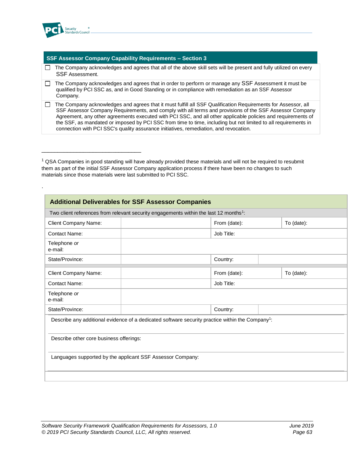

.

\_\_\_\_\_\_\_\_\_\_\_\_\_\_\_\_\_\_\_\_\_\_\_\_\_\_\_\_\_\_\_

#### **SSF Assessor Company Capability Requirements – Section 3**

- $\Box$  The Company acknowledges and agrees that all of the above skill sets will be present and fully utilized on every SSF Assessment.
- $\Box$  The Company acknowledges and agrees that in order to perform or manage any SSF Assessment it must be qualified by PCI SSC as, and in Good Standing or in compliance with remediation as an SSF Assessor Company.
- □ The Company acknowledges and agrees that it must fulfill all SSF Qualification Requirements for Assessor, all SSF Assessor Company Requirements, and comply with all terms and provisions of the SSF Assessor Company Agreement, any other agreements executed with PCI SSC, and all other applicable policies and requirements of the SSF, as mandated or imposed by PCI SSC from time to time, including but not limited to all requirements in connection with PCI SSC's quality assurance initiatives, remediation, and revocation.

 $1$  QSA Companies in good standing will have already provided these materials and will not be required to resubmit them as part of the initial SSF Assessor Company application process if there have been no changes to such materials since those materials were last submitted to PCI SSC.

| Two client references from relevant security engagements within the last 12 months <sup>1</sup> : |                                                                                                              |            |  |  |
|---------------------------------------------------------------------------------------------------|--------------------------------------------------------------------------------------------------------------|------------|--|--|
| <b>Client Company Name:</b>                                                                       | From (date):<br>To (date):                                                                                   |            |  |  |
| <b>Contact Name:</b>                                                                              | Job Title:                                                                                                   |            |  |  |
| Telephone or<br>e-mail:                                                                           |                                                                                                              |            |  |  |
| State/Province:                                                                                   | Country:                                                                                                     |            |  |  |
| <b>Client Company Name:</b>                                                                       | From (date):                                                                                                 | To (date): |  |  |
| Contact Name:                                                                                     | Job Title:                                                                                                   |            |  |  |
| Telephone or<br>e-mail:                                                                           |                                                                                                              |            |  |  |
| State/Province:                                                                                   | Country:                                                                                                     |            |  |  |
|                                                                                                   | Describe any additional evidence of a dedicated software security practice within the Company <sup>1</sup> : |            |  |  |
| Describe other core business offerings:                                                           |                                                                                                              |            |  |  |
| Languages supported by the applicant SSF Assessor Company:                                        |                                                                                                              |            |  |  |
|                                                                                                   |                                                                                                              |            |  |  |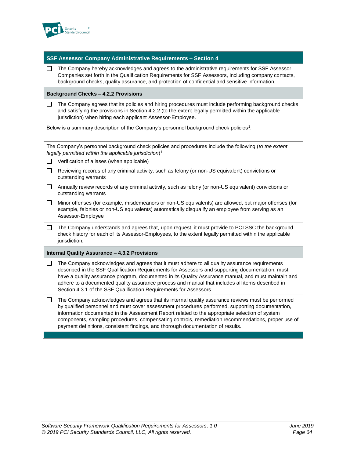

#### **SSF Assessor Company Administrative Requirements – Section 4**

 $\Box$  The Company hereby acknowledges and agrees to the administrative requirements for SSF Assessor Companies set forth in the Qualification Requirements for SSF Assessors, including company contacts, background checks, quality assurance, and protection of confidential and sensitive information.

#### **Background Checks – 4.2.2 Provisions**

The Company agrees that its policies and hiring procedures must include performing background checks and satisfying the provisions in Section 4.2.2 (to the extent legally permitted within the applicable jurisdiction) when hiring each applicant Assessor-Employee.

Below is a summary description of the Company's personnel background check policies<sup>1</sup>:

The Company's personnel background check policies and procedures include the following (*to the extent legally permitted within the applicable jurisdiction*) 1 :

- $\Box$  Verification of aliases (when applicable)
- $\Box$  Reviewing records of any criminal activity, such as felony (or non-US equivalent) convictions or outstanding warrants
- $\Box$  Annually review records of any criminal activity, such as felony (or non-US equivalent) convictions or outstanding warrants
- Minor offenses (for example, misdemeanors or non-US equivalents) are allowed, but major offenses (for example, felonies or non-US equivalents) automatically disqualify an employee from serving as an Assessor-Employee
- $\Box$  The Company understands and agrees that, upon request, it must provide to PCI SSC the background check history for each of its Assessor-Employees, to the extent legally permitted within the applicable jurisdiction.

#### **Internal Quality Assurance – 4.3.2 Provisions**

- The Company acknowledges and agrees that it must adhere to all quality assurance requirements  $\mathbf{L}$ described in the SSF Qualification Requirements for Assessors and supporting documentation, must have a quality assurance program, documented in its Quality Assurance manual, and must maintain and adhere to a documented quality assurance process and manual that includes all items described in Section 4.3.1 of the SSF Qualification Requirements for Assessors.
- $\Box$  The Company acknowledges and agrees that its internal quality assurance reviews must be performed by qualified personnel and must cover assessment procedures performed, supporting documentation, information documented in the Assessment Report related to the appropriate selection of system components, sampling procedures, compensating controls, remediation recommendations, proper use of payment definitions, consistent findings, and thorough documentation of results.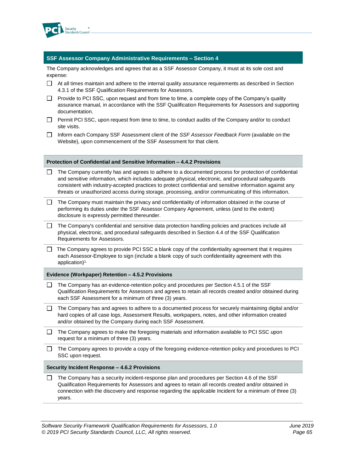

#### **SSF Assessor Company Administrative Requirements – Section 4**

The Company acknowledges and agrees that as a SSF Assessor Company, it must at its sole cost and expense:

- $\Box$  At all times maintain and adhere to the internal quality assurance requirements as described in Section 4.3.1 of the SSF Qualification Requirements for Assessors*.*
- $\Box$  Provide to PCI SSC, upon request and from time to time, a complete copy of the Company's quality assurance manual, in accordance with the SSF Qualification Requirements for Assessors and supporting documentation.
- □ Permit PCI SSC, upon request from time to time, to conduct audits of the Company and/or to conduct site visits.
- Inform each Company SSF Assessment client of the *SSF Assessor Feedback Form* (available on the Website), upon commencement of the SSF Assessment for that client.

- $\Box$  The Company currently has and agrees to adhere to a documented process for protection of confidential and sensitive information, which includes adequate physical, electronic, and procedural safeguards consistent with industry-accepted practices to protect confidential and sensitive information against any threats or unauthorized access during storage, processing, and/or communicating of this information.
- $\Box$  The Company must maintain the privacy and confidentiality of information obtained in the course of performing its duties under the SSF Assessor Company Agreement, unless (and to the extent) disclosure is expressly permitted thereunder.
- $\Box$  The Company's confidential and sensitive data protection handling policies and practices include all physical, electronic, and procedural safeguards described in Section 4.4 of the SSF Qualification Requirements for Assessors.
- $\Box$  The Company agrees to provide PCI SSC a blank copy of the confidentiality agreement that it requires each Assessor-Employee to sign (include a blank copy of such confidentiality agreement with this application) 1.

#### **Evidence (Workpaper) Retention – 4.5.2 Provisions**

- $\Box$  The Company has an evidence-retention policy and procedures per Section 4.5.1 of the SSF Qualification Requirements for Assessors and agrees to retain all records created and/or obtained during each SSF Assessment for a minimum of three (3) years.
- $\Box$  The Company has and agrees to adhere to a documented process for securely maintaining digital and/or hard copies of all case logs, Assessment Results, workpapers, notes, and other information created and/or obtained by the Company during each SSF Assessment.
- $\Box$  The Company agrees to make the foregoing materials and information available to PCI SSC upon request for a minimum of three (3) years.
- □ The Company agrees to provide a copy of the foregoing evidence-retention policy and procedures to PCI SSC upon request.

#### **Security Incident Response – 4.6.2 Provisions**

 $\Box$  The Company has a security incident-response plan and procedures per Section 4.6 of the SSF Qualification Requirements for Assessors and agrees to retain all records created and/or obtained in connection with the discovery and response regarding the applicable Incident for a minimum of three (3) years.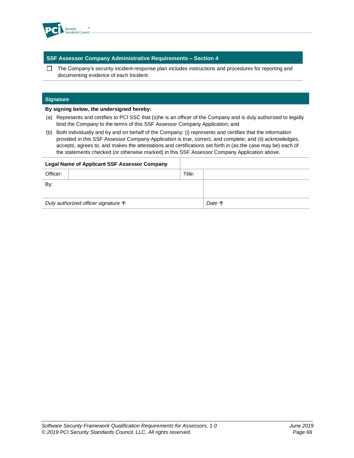

#### **SSF Assessor Company Administrative Requirements – Section 4**

 $\Box$  The Company's security incident-response plan includes instructions and procedures for reporting and documenting evidence of each Incident.

#### **Signature**

#### **By signing below, the undersigned hereby:**

- (a) Represents and certifies to PCI SSC that (s)he is an officer of the Company and is duly authorized to legally bind the Company to the terms of this SSF Assessor Company Application; and
- (b) Both individually and by and on behalf of the Company: (i) represents and certifies that the information provided in this SSF Assessor Company Application is true, correct, and complete; and (ii) acknowledges, accepts, agrees to, and makes the attestations and certifications set forth in (as the case may be) each of the statements checked (or otherwise marked) in this SSF Assessor Company Application above.

| <b>Legal Name of Applicant SSF Assessor Company</b> |  |        |        |
|-----------------------------------------------------|--|--------|--------|
| Officer:                                            |  | Title: |        |
| By:                                                 |  |        |        |
|                                                     |  |        |        |
| Duly authorized officer signature $\uparrow$        |  |        | Date 个 |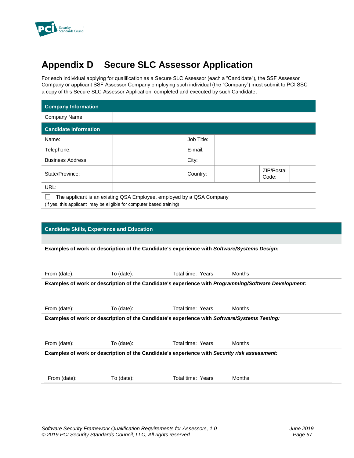

# **Appendix D Secure SLC Assessor Application**

For each individual applying for qualification as a Secure SLC Assessor (each a "Candidate"), the SSF Assessor Company or applicant SSF Assessor Company employing such individual (the "Company") must submit to PCI SSC a copy of this Secure SLC Assessor Application, completed and executed by such Candidate.

| <b>Company Information</b>   |            |                     |
|------------------------------|------------|---------------------|
| Company Name:                |            |                     |
| <b>Candidate Information</b> |            |                     |
| Name:                        | Job Title: |                     |
| Telephone:                   | E-mail:    |                     |
| <b>Business Address:</b>     | City:      |                     |
| State/Province:              | Country:   | ZIP/Postal<br>Code: |
| URL:                         |            |                     |
| .                            | .          |                     |

The applicant is an existing QSA Employee, employed by a QSA Company (If yes, this applicant may be eligible for computer based training)

#### **Candidate Skills, Experience and Education**

**Examples of work or description of the Candidate's experience with** *Software/Systems Design:*

| From (date):                                                                                 | To $(data)$ : | Total time: Years | Months                                                                                                      |  |  |
|----------------------------------------------------------------------------------------------|---------------|-------------------|-------------------------------------------------------------------------------------------------------------|--|--|
|                                                                                              |               |                   | Examples of work or description of the Candidate's experience with <i>Programming/Software Development:</i> |  |  |
|                                                                                              |               |                   |                                                                                                             |  |  |
| From (date):                                                                                 | To (date):    | Total time: Years | Months                                                                                                      |  |  |
| Examples of work or description of the Candidate's experience with Software/Systems Testing: |               |                   |                                                                                                             |  |  |
|                                                                                              |               |                   |                                                                                                             |  |  |
| From (date):                                                                                 | To $(data)$ : | Total time: Years | Months                                                                                                      |  |  |
| Examples of work or description of the Candidate's experience with Security risk assessment: |               |                   |                                                                                                             |  |  |
|                                                                                              |               |                   |                                                                                                             |  |  |
| From (date):                                                                                 | To (date):    | Total time: Years | <b>Months</b>                                                                                               |  |  |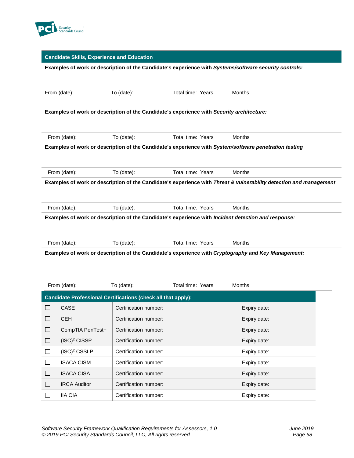

#### **Candidate Skills, Experience and Education**

#### **Examples of work or description of the Candidate's experience with** *Systems/software security controls:*

|                                                                                           | From (date):                                                                                                                                                            | To (date):                                                           | Total time: Years |  |  | Months                                                                                                             |
|-------------------------------------------------------------------------------------------|-------------------------------------------------------------------------------------------------------------------------------------------------------------------------|----------------------------------------------------------------------|-------------------|--|--|--------------------------------------------------------------------------------------------------------------------|
| Examples of work or description of the Candidate's experience with Security architecture: |                                                                                                                                                                         |                                                                      |                   |  |  |                                                                                                                    |
|                                                                                           | From (date):                                                                                                                                                            | To (date):                                                           | Total time: Years |  |  | Months                                                                                                             |
|                                                                                           | Examples of work or description of the Candidate's experience with System/software penetration testing                                                                  |                                                                      |                   |  |  |                                                                                                                    |
|                                                                                           | From (date):                                                                                                                                                            | To (date):                                                           | Total time: Years |  |  | Months                                                                                                             |
|                                                                                           |                                                                                                                                                                         |                                                                      |                   |  |  | Examples of work or description of the Candidate's experience with Threat & vulnerability detection and management |
|                                                                                           | From (date):                                                                                                                                                            | To (date):                                                           | Total time: Years |  |  | Months                                                                                                             |
|                                                                                           | Examples of work or description of the Candidate's experience with Incident detection and response:                                                                     |                                                                      |                   |  |  |                                                                                                                    |
|                                                                                           | From (date):                                                                                                                                                            | To (date):                                                           | Total time: Years |  |  | Months                                                                                                             |
|                                                                                           | Examples of work or description of the Candidate's experience with Cryptography and Key Management:<br>Total time: Years<br><b>Months</b><br>From (date):<br>To (date): |                                                                      |                   |  |  |                                                                                                                    |
|                                                                                           |                                                                                                                                                                         | <b>Candidate Professional Certifications (check all that apply):</b> |                   |  |  |                                                                                                                    |
| $\Box$                                                                                    | CASE                                                                                                                                                                    | Certification number:                                                |                   |  |  | Expiry date:                                                                                                       |
| $\Box$                                                                                    | <b>CEH</b>                                                                                                                                                              | Certification number:                                                |                   |  |  | Expiry date:                                                                                                       |
| $\Box$                                                                                    | CompTIA PenTest+                                                                                                                                                        | Certification number:                                                |                   |  |  | Expiry date:                                                                                                       |
| $\Box$                                                                                    | $(ISC)^2$ CISSP                                                                                                                                                         | Certification number:                                                |                   |  |  | Expiry date:                                                                                                       |
| $\Box$                                                                                    | $(ISC)^2$ CSSLP                                                                                                                                                         | Certification number:                                                |                   |  |  | Expiry date:                                                                                                       |
| $\Box$                                                                                    | <b>ISACA CISM</b>                                                                                                                                                       | Certification number:                                                |                   |  |  | Expiry date:                                                                                                       |
| $\Box$                                                                                    | <b>ISACA CISA</b>                                                                                                                                                       | Certification number:                                                |                   |  |  | Expiry date:                                                                                                       |
| $\Box$                                                                                    | <b>IRCA Auditor</b>                                                                                                                                                     | Certification number:                                                |                   |  |  | Expiry date:                                                                                                       |
| $\Box$                                                                                    | <b>IIA CIA</b>                                                                                                                                                          | Certification number:                                                |                   |  |  | Expiry date:                                                                                                       |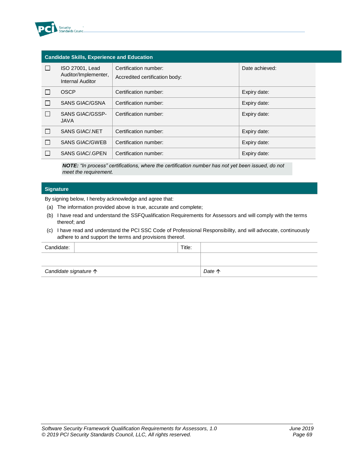

| <b>Candidate Skills, Experience and Education</b> |                                                             |                                                         |                |  |
|---------------------------------------------------|-------------------------------------------------------------|---------------------------------------------------------|----------------|--|
|                                                   | ISO 27001, Lead<br>Auditor/Implementer,<br>Internal Auditor | Certification number:<br>Accredited certification body: | Date achieved: |  |
|                                                   | OSCP                                                        | Certification number:                                   | Expiry date:   |  |
|                                                   | <b>SANS GIAC/GSNA</b>                                       | Certification number:                                   | Expiry date:   |  |
|                                                   | <b>SANS GIAC/GSSP-</b><br><b>JAVA</b>                       | Certification number:                                   | Expiry date:   |  |
|                                                   | <b>SANS GIAC/.NET</b>                                       | Certification number:                                   | Expiry date:   |  |
|                                                   | <b>SANS GIAC/GWEB</b>                                       | Certification number:                                   | Expiry date:   |  |
|                                                   | SANS GIAC/ GPEN                                             | Certification number:                                   | Expiry date:   |  |

*NOTE: "In process" certifications, where the certification number has not yet been issued, do not meet the requirement.*

#### **Signature**

By signing below, I hereby acknowledge and agree that:

- (a) The information provided above is true, accurate and complete;
- (b) I have read and understand the SSFQualification Requirements for Assessors and will comply with the terms thereof; and
- (c) I have read and understand the PCI SSC Code of Professional Responsibility, and will advocate, continuously adhere to and support the terms and provisions thereof.

| Candidate:                     | Title: |        |
|--------------------------------|--------|--------|
|                                |        |        |
| Candidate signature $\uparrow$ |        | Date 个 |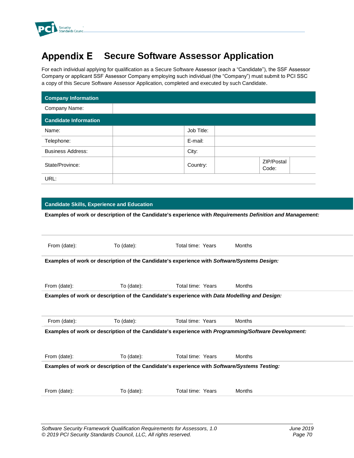

#### **Appendix E Secure Software Assessor Application**

For each individual applying for qualification as a Secure Software Assessor (each a "Candidate"), the SSF Assessor Company or applicant SSF Assessor Company employing such individual (the "Company") must submit to PCI SSC a copy of this Secure Software Assessor Application, completed and executed by such Candidate.

| <b>Company Information</b>   |            |                     |  |
|------------------------------|------------|---------------------|--|
| Company Name:                |            |                     |  |
| <b>Candidate Information</b> |            |                     |  |
| Name:                        | Job Title: |                     |  |
| Telephone:                   | E-mail:    |                     |  |
| <b>Business Address:</b>     | City:      |                     |  |
| State/Province:              | Country:   | ZIP/Postal<br>Code: |  |
| URL:                         |            |                     |  |

# **Candidate Skills, Experience and Education**

**Examples of work or description of the Candidate's experience with** *Requirements Definition and Management:*

| From (date): | To (date): | Total time: Years                                                                                           | Months |  |
|--------------|------------|-------------------------------------------------------------------------------------------------------------|--------|--|
|              |            | Examples of work or description of the Candidate's experience with Software/Systems Design:                 |        |  |
| From (date): | To (date): | Total time: Years                                                                                           | Months |  |
|              |            | Examples of work or description of the Candidate's experience with Data Modelling and Design:               |        |  |
|              |            |                                                                                                             |        |  |
| From (date): | To (date): | Total time: Years                                                                                           | Months |  |
|              |            | Examples of work or description of the Candidate's experience with <i>Programming/Software Development:</i> |        |  |
| From (date): | To (date): | Total time: Years                                                                                           | Months |  |
|              |            | Examples of work or description of the Candidate's experience with Software/Systems Testing:                |        |  |
|              |            |                                                                                                             |        |  |
| From (date): | To (date): | Total time: Years                                                                                           | Months |  |
|              |            |                                                                                                             |        |  |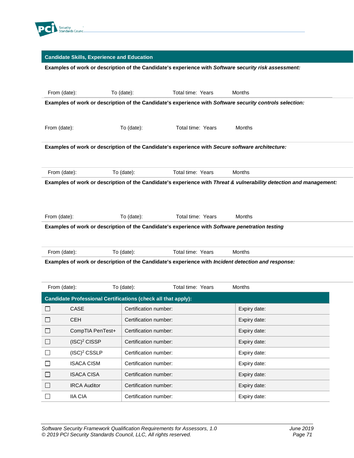

# **Candidate Skills, Experience and Education**

# **Examples of work or description of the Candidate's experience with** *Software* **s***ecurity risk assessment:*

| From (date):                                                                                             |                                                               | To (date):            | Total time: Years                                                                                | <b>Months</b>                                                                                                       |  |
|----------------------------------------------------------------------------------------------------------|---------------------------------------------------------------|-----------------------|--------------------------------------------------------------------------------------------------|---------------------------------------------------------------------------------------------------------------------|--|
| Examples of work or description of the Candidate's experience with Software security controls selection: |                                                               |                       |                                                                                                  |                                                                                                                     |  |
|                                                                                                          |                                                               |                       |                                                                                                  |                                                                                                                     |  |
| From (date):                                                                                             |                                                               | To (date):            | Total time: Years                                                                                | Months                                                                                                              |  |
|                                                                                                          |                                                               |                       |                                                                                                  |                                                                                                                     |  |
|                                                                                                          |                                                               |                       | Examples of work or description of the Candidate's experience with Secure software architecture: |                                                                                                                     |  |
|                                                                                                          |                                                               |                       |                                                                                                  |                                                                                                                     |  |
| From (date):                                                                                             |                                                               | To (date):            | Total time: Years                                                                                | <b>Months</b>                                                                                                       |  |
|                                                                                                          |                                                               |                       |                                                                                                  | Examples of work or description of the Candidate's experience with Threat & vulnerability detection and management: |  |
|                                                                                                          |                                                               |                       |                                                                                                  |                                                                                                                     |  |
|                                                                                                          |                                                               |                       |                                                                                                  |                                                                                                                     |  |
|                                                                                                          |                                                               |                       |                                                                                                  |                                                                                                                     |  |
|                                                                                                          |                                                               |                       | Total time: Years                                                                                | <b>Months</b>                                                                                                       |  |
| From (date):                                                                                             |                                                               | To (date):            | Examples of work or description of the Candidate's experience with Software penetration testing  |                                                                                                                     |  |
|                                                                                                          |                                                               |                       |                                                                                                  |                                                                                                                     |  |
|                                                                                                          |                                                               |                       |                                                                                                  |                                                                                                                     |  |
| From (date):                                                                                             |                                                               | To (date):            | Total time: Years                                                                                | <b>Months</b>                                                                                                       |  |
|                                                                                                          |                                                               |                       |                                                                                                  | Examples of work or description of the Candidate's experience with Incident detection and response:                 |  |
|                                                                                                          |                                                               |                       |                                                                                                  |                                                                                                                     |  |
| From (date):                                                                                             |                                                               | To (date):            | Total time: Years                                                                                | Months                                                                                                              |  |
|                                                                                                          | Candidate Professional Certifications (check all that apply): |                       |                                                                                                  |                                                                                                                     |  |
| $\mathsf{L}$                                                                                             | CASE                                                          | Certification number: |                                                                                                  | Expiry date:                                                                                                        |  |
| $\Box$                                                                                                   | <b>CEH</b>                                                    | Certification number: |                                                                                                  | Expiry date:                                                                                                        |  |

| —      |                     | <u>ourinuarion nanipul.</u> | $L$ $\sim$ $L$ $\sim$ $R$ , $\sim$ $L$ |
|--------|---------------------|-----------------------------|----------------------------------------|
| $\Box$ | CompTIA PenTest+    | Certification number:       | Expiry date:                           |
| $\Box$ | $(ISC)^2$ CISSP     | Certification number:       | Expiry date:                           |
|        | $(ISC)^2$ CSSLP     | Certification number:       | Expiry date:                           |
|        | <b>ISACA CISM</b>   | Certification number:       | Expiry date:                           |
| $\Box$ | <b>ISACA CISA</b>   | Certification number:       | Expiry date:                           |
| П      | <b>IRCA Auditor</b> | Certification number:       | Expiry date:                           |
|        | <b>IIA CIA</b>      | Certification number:       | Expiry date:                           |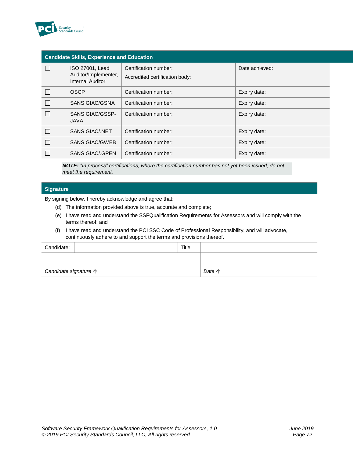

| <b>Candidate Skills, Experience and Education</b> |                                                             |                                                         |                |
|---------------------------------------------------|-------------------------------------------------------------|---------------------------------------------------------|----------------|
|                                                   | ISO 27001, Lead<br>Auditor/Implementer,<br>Internal Auditor | Certification number:<br>Accredited certification body: | Date achieved: |
|                                                   | <b>OSCP</b>                                                 | Certification number:                                   | Expiry date:   |
|                                                   | <b>SANS GIAC/GSNA</b>                                       | Certification number:                                   | Expiry date:   |
|                                                   | <b>SANS GIAC/GSSP-</b><br><b>JAVA</b>                       | Certification number:                                   | Expiry date:   |
|                                                   | <b>SANS GIAC/.NET</b>                                       | Certification number:                                   | Expiry date:   |
|                                                   | <b>SANS GIAC/GWEB</b>                                       | Certification number:                                   | Expiry date:   |
|                                                   | SANS GIAC/ GPEN                                             | Certification number:                                   | Expiry date:   |

*NOTE: "In process" certifications, where the certification number has not yet been issued, do not meet the requirement.*

### **Signature**

By signing below, I hereby acknowledge and agree that:

- (d) The information provided above is true, accurate and complete;
- (e) I have read and understand the SSFQualification Requirements for Assessors and will comply with the terms thereof; and
- (f) I have read and understand the PCI SSC Code of Professional Responsibility, and will advocate, continuously adhere to and support the terms and provisions thereof.

| Candidate:                     | Title: |        |
|--------------------------------|--------|--------|
|                                |        |        |
| Candidate signature $\uparrow$ |        | Date 个 |